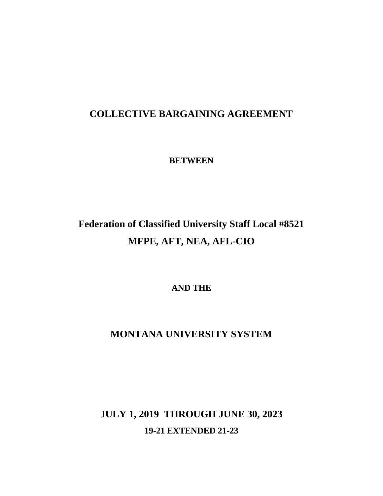## **COLLECTIVE BARGAINING AGREEMENT**

**BETWEEN**

# **Federation of Classified University Staff Local #8521 MFPE, AFT, NEA, AFL-CIO**

**AND THE**

## **MONTANA UNIVERSITY SYSTEM**

**JULY 1, 2019 THROUGH JUNE 30, 2023 19-21 EXTENDED 21-23**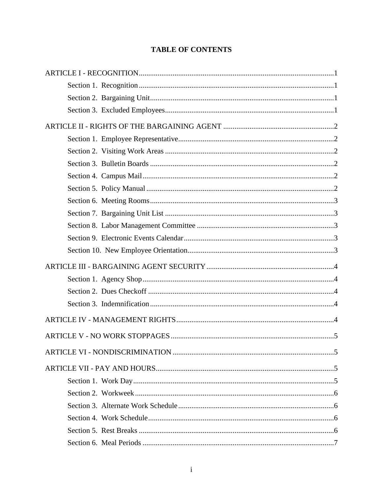## **TABLE OF CONTENTS**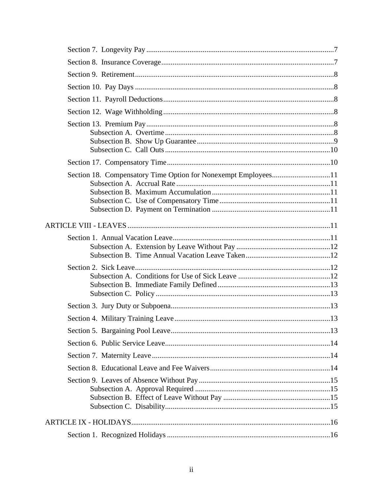| Section 18. Compensatory Time Option for Nonexempt Employees11 |  |
|----------------------------------------------------------------|--|
|                                                                |  |
|                                                                |  |
|                                                                |  |
|                                                                |  |
|                                                                |  |
|                                                                |  |
|                                                                |  |
|                                                                |  |
|                                                                |  |
|                                                                |  |
|                                                                |  |
|                                                                |  |
|                                                                |  |
|                                                                |  |
|                                                                |  |
|                                                                |  |
|                                                                |  |
|                                                                |  |
|                                                                |  |
|                                                                |  |
|                                                                |  |
|                                                                |  |
|                                                                |  |
|                                                                |  |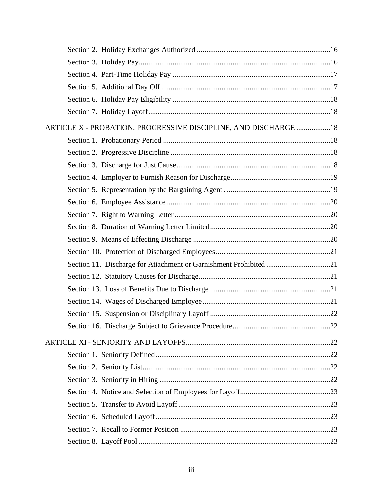| ARTICLE X - PROBATION, PROGRESSIVE DISCIPLINE, AND DISCHARGE 18 |  |
|-----------------------------------------------------------------|--|
|                                                                 |  |
|                                                                 |  |
|                                                                 |  |
|                                                                 |  |
|                                                                 |  |
|                                                                 |  |
|                                                                 |  |
|                                                                 |  |
|                                                                 |  |
|                                                                 |  |
|                                                                 |  |
|                                                                 |  |
|                                                                 |  |
|                                                                 |  |
|                                                                 |  |
|                                                                 |  |
|                                                                 |  |
|                                                                 |  |
|                                                                 |  |
|                                                                 |  |
|                                                                 |  |
|                                                                 |  |
|                                                                 |  |
|                                                                 |  |
|                                                                 |  |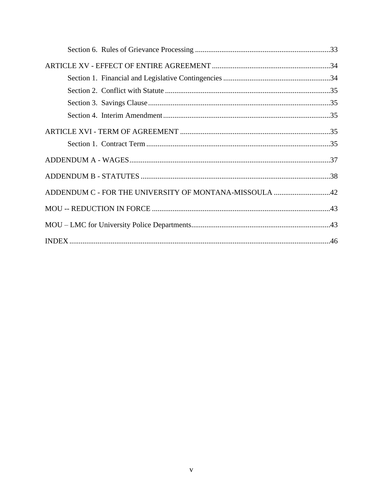| ADDENDUM C - FOR THE UNIVERSITY OF MONTANA-MISSOULA 42 |  |
|--------------------------------------------------------|--|
|                                                        |  |
|                                                        |  |
|                                                        |  |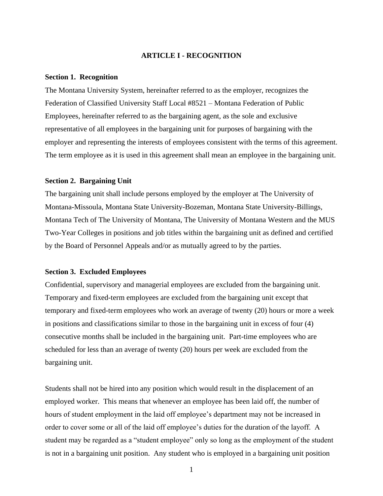## **ARTICLE I - RECOGNITION**

#### <span id="page-6-1"></span><span id="page-6-0"></span>**Section 1. Recognition**

The Montana University System, hereinafter referred to as the employer, recognizes the Federation of Classified University Staff Local #8521 – Montana Federation of Public Employees, hereinafter referred to as the bargaining agent, as the sole and exclusive representative of all employees in the bargaining unit for purposes of bargaining with the employer and representing the interests of employees consistent with the terms of this agreement. The term employee as it is used in this agreement shall mean an employee in the bargaining unit.

## <span id="page-6-2"></span>**Section 2. Bargaining Unit**

The bargaining unit shall include persons employed by the employer at The University of Montana-Missoula, Montana State University-Bozeman, Montana State University-Billings, Montana Tech of The University of Montana, The University of Montana Western and the MUS Two-Year Colleges in positions and job titles within the bargaining unit as defined and certified by the Board of Personnel Appeals and/or as mutually agreed to by the parties.

## <span id="page-6-3"></span>**Section 3. Excluded Employees**

Confidential, supervisory and managerial employees are excluded from the bargaining unit. Temporary and fixed-term employees are excluded from the bargaining unit except that temporary and fixed-term employees who work an average of twenty (20) hours or more a week in positions and classifications similar to those in the bargaining unit in excess of four (4) consecutive months shall be included in the bargaining unit. Part-time employees who are scheduled for less than an average of twenty (20) hours per week are excluded from the bargaining unit.

Students shall not be hired into any position which would result in the displacement of an employed worker. This means that whenever an employee has been laid off, the number of hours of student employment in the laid off employee's department may not be increased in order to cover some or all of the laid off employee's duties for the duration of the layoff. A student may be regarded as a "student employee" only so long as the employment of the student is not in a bargaining unit position. Any student who is employed in a bargaining unit position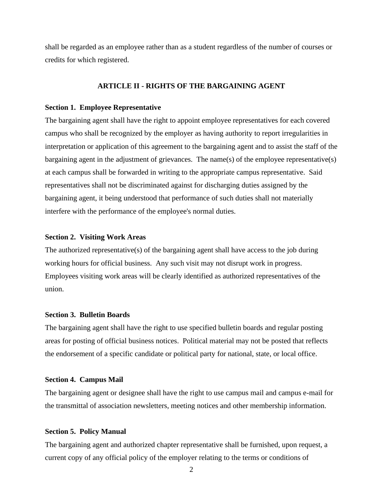shall be regarded as an employee rather than as a student regardless of the number of courses or credits for which registered.

## **ARTICLE II - RIGHTS OF THE BARGAINING AGENT**

## <span id="page-7-1"></span><span id="page-7-0"></span>**Section 1. Employee Representative**

The bargaining agent shall have the right to appoint employee representatives for each covered campus who shall be recognized by the employer as having authority to report irregularities in interpretation or application of this agreement to the bargaining agent and to assist the staff of the bargaining agent in the adjustment of grievances. The name(s) of the employee representative(s) at each campus shall be forwarded in writing to the appropriate campus representative. Said representatives shall not be discriminated against for discharging duties assigned by the bargaining agent, it being understood that performance of such duties shall not materially interfere with the performance of the employee's normal duties.

## <span id="page-7-2"></span>**Section 2. Visiting Work Areas**

The authorized representative(s) of the bargaining agent shall have access to the job during working hours for official business. Any such visit may not disrupt work in progress. Employees visiting work areas will be clearly identified as authorized representatives of the union.

## <span id="page-7-3"></span>**Section 3. Bulletin Boards**

The bargaining agent shall have the right to use specified bulletin boards and regular posting areas for posting of official business notices. Political material may not be posted that reflects the endorsement of a specific candidate or political party for national, state, or local office.

#### <span id="page-7-4"></span>**Section 4. Campus Mail**

The bargaining agent or designee shall have the right to use campus mail and campus e-mail for the transmittal of association newsletters, meeting notices and other membership information.

## <span id="page-7-5"></span>**Section 5. Policy Manual**

The bargaining agent and authorized chapter representative shall be furnished, upon request, a current copy of any official policy of the employer relating to the terms or conditions of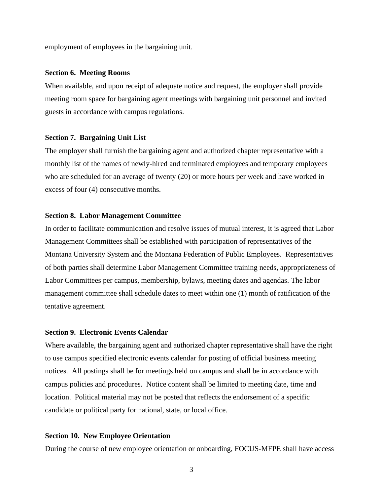employment of employees in the bargaining unit.

## <span id="page-8-0"></span>**Section 6. Meeting Rooms**

When available, and upon receipt of adequate notice and request, the employer shall provide meeting room space for bargaining agent meetings with bargaining unit personnel and invited guests in accordance with campus regulations.

## <span id="page-8-1"></span>**Section 7. Bargaining Unit List**

The employer shall furnish the bargaining agent and authorized chapter representative with a monthly list of the names of newly-hired and terminated employees and temporary employees who are scheduled for an average of twenty (20) or more hours per week and have worked in excess of four (4) consecutive months.

## <span id="page-8-2"></span>**Section 8. Labor Management Committee**

In order to facilitate communication and resolve issues of mutual interest, it is agreed that Labor Management Committees shall be established with participation of representatives of the Montana University System and the Montana Federation of Public Employees. Representatives of both parties shall determine Labor Management Committee training needs, appropriateness of Labor Committees per campus, membership, bylaws, meeting dates and agendas. The labor management committee shall schedule dates to meet within one (1) month of ratification of the tentative agreement.

## <span id="page-8-3"></span>**Section 9. Electronic Events Calendar**

Where available, the bargaining agent and authorized chapter representative shall have the right to use campus specified electronic events calendar for posting of official business meeting notices. All postings shall be for meetings held on campus and shall be in accordance with campus policies and procedures. Notice content shall be limited to meeting date, time and location. Political material may not be posted that reflects the endorsement of a specific candidate or political party for national, state, or local office.

## <span id="page-8-4"></span>**Section 10. New Employee Orientation**

During the course of new employee orientation or onboarding, FOCUS-MFPE shall have access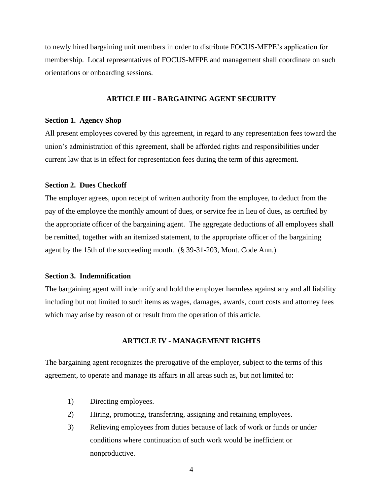to newly hired bargaining unit members in order to distribute FOCUS-MFPE's application for membership. Local representatives of FOCUS-MFPE and management shall coordinate on such orientations or onboarding sessions.

## **ARTICLE III - BARGAINING AGENT SECURITY**

## <span id="page-9-1"></span><span id="page-9-0"></span>**Section 1. Agency Shop**

All present employees covered by this agreement, in regard to any representation fees toward the union's administration of this agreement, shall be afforded rights and responsibilities under current law that is in effect for representation fees during the term of this agreement.

## <span id="page-9-2"></span>**Section 2. Dues Checkoff**

The employer agrees, upon receipt of written authority from the employee, to deduct from the pay of the employee the monthly amount of dues, or service fee in lieu of dues, as certified by the appropriate officer of the bargaining agent. The aggregate deductions of all employees shall be remitted, together with an itemized statement, to the appropriate officer of the bargaining agent by the 15th of the succeeding month. (§ 39-31-203, Mont. Code Ann.)

## <span id="page-9-3"></span>**Section 3. Indemnification**

The bargaining agent will indemnify and hold the employer harmless against any and all liability including but not limited to such items as wages, damages, awards, court costs and attorney fees which may arise by reason of or result from the operation of this article.

## **ARTICLE IV - MANAGEMENT RIGHTS**

<span id="page-9-4"></span>The bargaining agent recognizes the prerogative of the employer, subject to the terms of this agreement, to operate and manage its affairs in all areas such as, but not limited to:

- 1) Directing employees.
- 2) Hiring, promoting, transferring, assigning and retaining employees.
- 3) Relieving employees from duties because of lack of work or funds or under conditions where continuation of such work would be inefficient or nonproductive.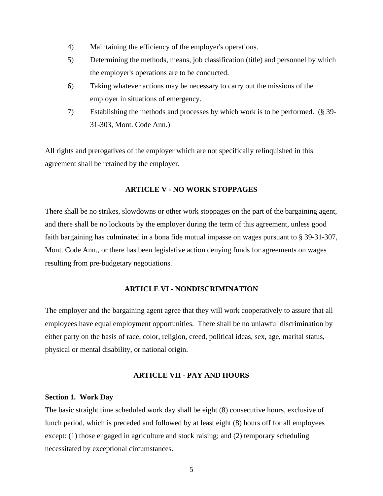- 4) Maintaining the efficiency of the employer's operations.
- 5) Determining the methods, means, job classification (title) and personnel by which the employer's operations are to be conducted.
- 6) Taking whatever actions may be necessary to carry out the missions of the employer in situations of emergency.
- 7) Establishing the methods and processes by which work is to be performed. (§ 39- 31-303, Mont. Code Ann.)

All rights and prerogatives of the employer which are not specifically relinquished in this agreement shall be retained by the employer.

## **ARTICLE V - NO WORK STOPPAGES**

<span id="page-10-0"></span>There shall be no strikes, slowdowns or other work stoppages on the part of the bargaining agent, and there shall be no lockouts by the employer during the term of this agreement, unless good faith bargaining has culminated in a bona fide mutual impasse on wages pursuant to § 39-31-307, Mont. Code Ann., or there has been legislative action denying funds for agreements on wages resulting from pre-budgetary negotiations.

## **ARTICLE VI - NONDISCRIMINATION**

<span id="page-10-1"></span>The employer and the bargaining agent agree that they will work cooperatively to assure that all employees have equal employment opportunities. There shall be no unlawful discrimination by either party on the basis of race, color, religion, creed, political ideas, sex, age, marital status, physical or mental disability, or national origin.

## **ARTICLE VII - PAY AND HOURS**

#### <span id="page-10-3"></span><span id="page-10-2"></span>**Section 1. Work Day**

The basic straight time scheduled work day shall be eight (8) consecutive hours, exclusive of lunch period, which is preceded and followed by at least eight (8) hours off for all employees except: (1) those engaged in agriculture and stock raising; and (2) temporary scheduling necessitated by exceptional circumstances.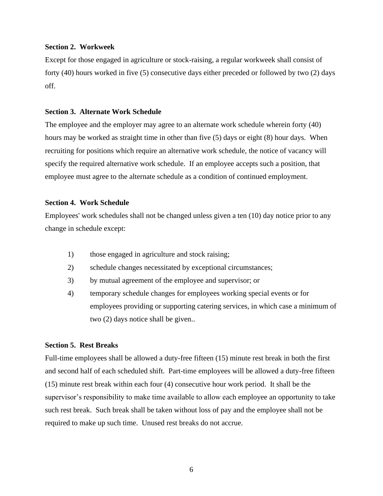## <span id="page-11-0"></span>**Section 2. Workweek**

Except for those engaged in agriculture or stock-raising, a regular workweek shall consist of forty (40) hours worked in five (5) consecutive days either preceded or followed by two (2) days off.

## <span id="page-11-1"></span>**Section 3. Alternate Work Schedule**

The employee and the employer may agree to an alternate work schedule wherein forty (40) hours may be worked as straight time in other than five (5) days or eight (8) hour days. When recruiting for positions which require an alternative work schedule, the notice of vacancy will specify the required alternative work schedule. If an employee accepts such a position, that employee must agree to the alternate schedule as a condition of continued employment.

## <span id="page-11-2"></span>**Section 4. Work Schedule**

Employees' work schedules shall not be changed unless given a ten (10) day notice prior to any change in schedule except:

- 1) those engaged in agriculture and stock raising;
- 2) schedule changes necessitated by exceptional circumstances;
- 3) by mutual agreement of the employee and supervisor; or
- 4) temporary schedule changes for employees working special events or for employees providing or supporting catering services, in which case a minimum of two (2) days notice shall be given..

#### <span id="page-11-3"></span>**Section 5. Rest Breaks**

Full-time employees shall be allowed a duty-free fifteen (15) minute rest break in both the first and second half of each scheduled shift. Part-time employees will be allowed a duty-free fifteen (15) minute rest break within each four (4) consecutive hour work period. It shall be the supervisor's responsibility to make time available to allow each employee an opportunity to take such rest break. Such break shall be taken without loss of pay and the employee shall not be required to make up such time. Unused rest breaks do not accrue.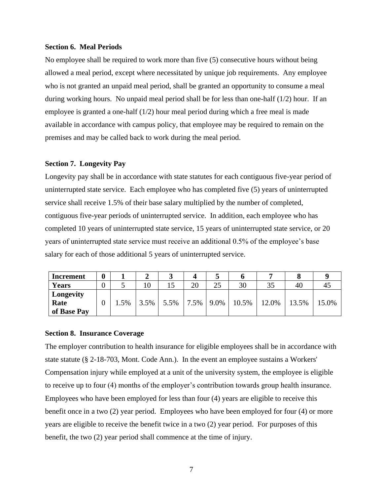## <span id="page-12-0"></span>**Section 6. Meal Periods**

No employee shall be required to work more than five (5) consecutive hours without being allowed a meal period, except where necessitated by unique job requirements. Any employee who is not granted an unpaid meal period, shall be granted an opportunity to consume a meal during working hours. No unpaid meal period shall be for less than one-half (1/2) hour. If an employee is granted a one-half (1/2) hour meal period during which a free meal is made available in accordance with campus policy, that employee may be required to remain on the premises and may be called back to work during the meal period.

## <span id="page-12-1"></span>**Section 7. Longevity Pay**

Longevity pay shall be in accordance with state statutes for each contiguous five-year period of uninterrupted state service. Each employee who has completed five (5) years of uninterrupted service shall receive 1.5% of their base salary multiplied by the number of completed, contiguous five-year periods of uninterrupted service. In addition, each employee who has completed 10 years of uninterrupted state service, 15 years of uninterrupted state service, or 20 years of uninterrupted state service must receive an additional 0.5% of the employee's base salary for each of those additional 5 years of uninterrupted service.

| Increment    | 0 |      |      |      |      |      |       |       |       |       |
|--------------|---|------|------|------|------|------|-------|-------|-------|-------|
| <b>Years</b> | 0 |      | 10   |      | 20   | 25   | 30    | JJ    | 40    |       |
| Longevity    |   |      |      |      |      |      |       |       |       |       |
| Rate         | 0 | 1.5% | 3.5% | 5.5% | 7.5% | 9.0% | 10.5% | 12.0% | 13.5% | 15.0% |
| of Base Pay  |   |      |      |      |      |      |       |       |       |       |

#### <span id="page-12-2"></span>**Section 8. Insurance Coverage**

The employer contribution to health insurance for eligible employees shall be in accordance with state statute (§ 2-18-703, Mont. Code Ann.). In the event an employee sustains a Workers' Compensation injury while employed at a unit of the university system, the employee is eligible to receive up to four (4) months of the employer's contribution towards group health insurance. Employees who have been employed for less than four (4) years are eligible to receive this benefit once in a two (2) year period. Employees who have been employed for four (4) or more years are eligible to receive the benefit twice in a two (2) year period. For purposes of this benefit, the two (2) year period shall commence at the time of injury.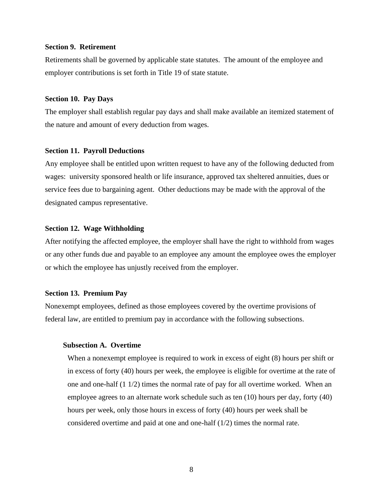## <span id="page-13-0"></span>**Section 9. Retirement**

Retirements shall be governed by applicable state statutes. The amount of the employee and employer contributions is set forth in Title 19 of state statute.

## <span id="page-13-1"></span>**Section 10. Pay Days**

The employer shall establish regular pay days and shall make available an itemized statement of the nature and amount of every deduction from wages.

#### <span id="page-13-2"></span>**Section 11. Payroll Deductions**

Any employee shall be entitled upon written request to have any of the following deducted from wages: university sponsored health or life insurance, approved tax sheltered annuities, dues or service fees due to bargaining agent. Other deductions may be made with the approval of the designated campus representative.

## <span id="page-13-3"></span>**Section 12. Wage Withholding**

After notifying the affected employee, the employer shall have the right to withhold from wages or any other funds due and payable to an employee any amount the employee owes the employer or which the employee has unjustly received from the employer.

#### <span id="page-13-4"></span>**Section 13. Premium Pay**

Nonexempt employees, defined as those employees covered by the overtime provisions of federal law, are entitled to premium pay in accordance with the following subsections.

## <span id="page-13-5"></span>**Subsection A. Overtime**

When a nonexempt employee is required to work in excess of eight (8) hours per shift or in excess of forty (40) hours per week, the employee is eligible for overtime at the rate of one and one-half (1 1/2) times the normal rate of pay for all overtime worked. When an employee agrees to an alternate work schedule such as ten (10) hours per day, forty (40) hours per week, only those hours in excess of forty (40) hours per week shall be considered overtime and paid at one and one-half (1/2) times the normal rate.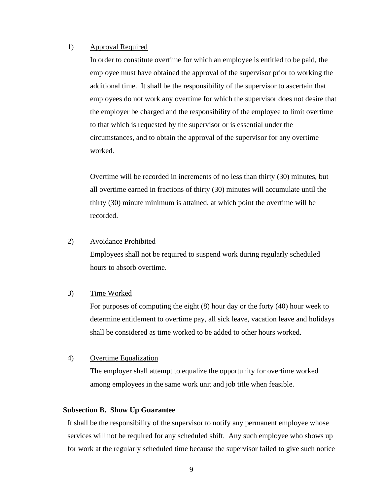## 1) Approval Required

In order to constitute overtime for which an employee is entitled to be paid, the employee must have obtained the approval of the supervisor prior to working the additional time. It shall be the responsibility of the supervisor to ascertain that employees do not work any overtime for which the supervisor does not desire that the employer be charged and the responsibility of the employee to limit overtime to that which is requested by the supervisor or is essential under the circumstances, and to obtain the approval of the supervisor for any overtime worked.

Overtime will be recorded in increments of no less than thirty (30) minutes, but all overtime earned in fractions of thirty (30) minutes will accumulate until the thirty (30) minute minimum is attained, at which point the overtime will be recorded.

## 2) Avoidance Prohibited

Employees shall not be required to suspend work during regularly scheduled hours to absorb overtime.

## 3) Time Worked

For purposes of computing the eight (8) hour day or the forty (40) hour week to determine entitlement to overtime pay, all sick leave, vacation leave and holidays shall be considered as time worked to be added to other hours worked.

## 4) Overtime Equalization

The employer shall attempt to equalize the opportunity for overtime worked among employees in the same work unit and job title when feasible.

## <span id="page-14-0"></span>**Subsection B. Show Up Guarantee**

It shall be the responsibility of the supervisor to notify any permanent employee whose services will not be required for any scheduled shift. Any such employee who shows up for work at the regularly scheduled time because the supervisor failed to give such notice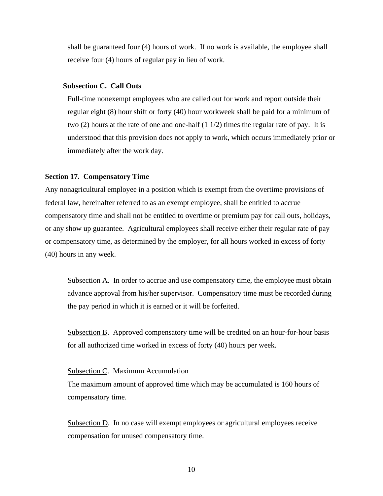shall be guaranteed four (4) hours of work. If no work is available, the employee shall receive four (4) hours of regular pay in lieu of work.

## <span id="page-15-0"></span>**Subsection C. Call Outs**

Full-time nonexempt employees who are called out for work and report outside their regular eight (8) hour shift or forty (40) hour workweek shall be paid for a minimum of two  $(2)$  hours at the rate of one and one-half  $(1 1/2)$  times the regular rate of pay. It is understood that this provision does not apply to work, which occurs immediately prior or immediately after the work day.

#### <span id="page-15-1"></span>**Section 17. Compensatory Time**

Any nonagricultural employee in a position which is exempt from the overtime provisions of federal law, hereinafter referred to as an exempt employee, shall be entitled to accrue compensatory time and shall not be entitled to overtime or premium pay for call outs, holidays, or any show up guarantee. Agricultural employees shall receive either their regular rate of pay or compensatory time, as determined by the employer, for all hours worked in excess of forty (40) hours in any week.

Subsection A. In order to accrue and use compensatory time, the employee must obtain advance approval from his/her supervisor. Compensatory time must be recorded during the pay period in which it is earned or it will be forfeited.

Subsection B. Approved compensatory time will be credited on an hour-for-hour basis for all authorized time worked in excess of forty (40) hours per week.

#### Subsection C. Maximum Accumulation

The maximum amount of approved time which may be accumulated is 160 hours of compensatory time.

Subsection D. In no case will exempt employees or agricultural employees receive compensation for unused compensatory time.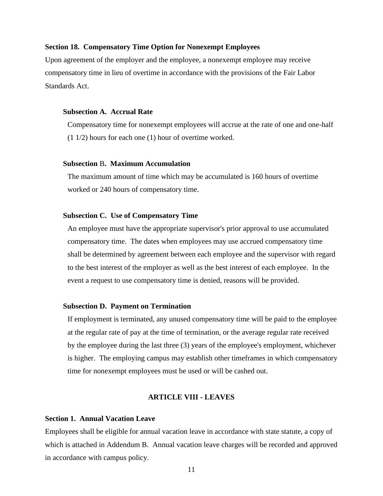## <span id="page-16-0"></span>**Section 18. Compensatory Time Option for Nonexempt Employees**

Upon agreement of the employer and the employee, a nonexempt employee may receive compensatory time in lieu of overtime in accordance with the provisions of the Fair Labor Standards Act.

## <span id="page-16-1"></span>**Subsection A. Accrual Rate**

Compensatory time for nonexempt employees will accrue at the rate of one and one-half (1 1/2) hours for each one (1) hour of overtime worked.

## <span id="page-16-2"></span>**Subsection** B**. Maximum Accumulation**

The maximum amount of time which may be accumulated is 160 hours of overtime worked or 240 hours of compensatory time.

## <span id="page-16-3"></span>**Subsection C. Use of Compensatory Time**

An employee must have the appropriate supervisor's prior approval to use accumulated compensatory time. The dates when employees may use accrued compensatory time shall be determined by agreement between each employee and the supervisor with regard to the best interest of the employer as well as the best interest of each employee. In the event a request to use compensatory time is denied, reasons will be provided.

## <span id="page-16-4"></span>**Subsection D. Payment on Termination**

If employment is terminated, any unused compensatory time will be paid to the employee at the regular rate of pay at the time of termination, or the average regular rate received by the employee during the last three (3) years of the employee's employment, whichever is higher. The employing campus may establish other timeframes in which compensatory time for nonexempt employees must be used or will be cashed out.

## **ARTICLE VIII - LEAVES**

## <span id="page-16-6"></span><span id="page-16-5"></span>**Section 1. Annual Vacation Leave**

Employees shall be eligible for annual vacation leave in accordance with state statute, a copy of which is attached in Addendum B. Annual vacation leave charges will be recorded and approved in accordance with campus policy.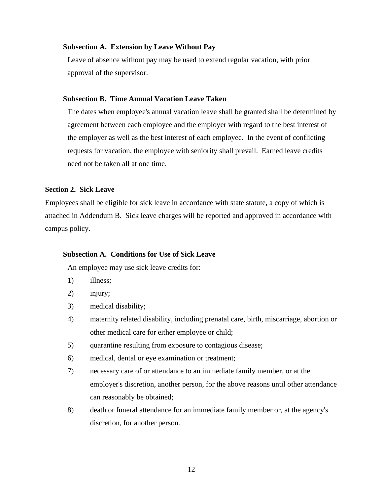## <span id="page-17-0"></span>**Subsection A. Extension by Leave Without Pay**

Leave of absence without pay may be used to extend regular vacation, with prior approval of the supervisor.

## <span id="page-17-1"></span>**Subsection B. Time Annual Vacation Leave Taken**

The dates when employee's annual vacation leave shall be granted shall be determined by agreement between each employee and the employer with regard to the best interest of the employer as well as the best interest of each employee. In the event of conflicting requests for vacation, the employee with seniority shall prevail. Earned leave credits need not be taken all at one time.

## <span id="page-17-2"></span>**Section 2. Sick Leave**

Employees shall be eligible for sick leave in accordance with state statute, a copy of which is attached in Addendum B. Sick leave charges will be reported and approved in accordance with campus policy.

## <span id="page-17-3"></span>**Subsection A. Conditions for Use of Sick Leave**

An employee may use sick leave credits for:

- 1) illness;
- 2) injury;
- 3) medical disability;
- 4) maternity related disability, including prenatal care, birth, miscarriage, abortion or other medical care for either employee or child;
- 5) quarantine resulting from exposure to contagious disease;
- 6) medical, dental or eye examination or treatment;
- 7) necessary care of or attendance to an immediate family member, or at the employer's discretion, another person, for the above reasons until other attendance can reasonably be obtained;
- 8) death or funeral attendance for an immediate family member or, at the agency's discretion, for another person.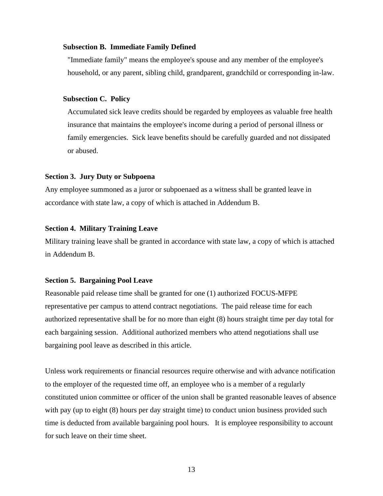## <span id="page-18-0"></span>**Subsection B. Immediate Family Defined**

"Immediate family" means the employee's spouse and any member of the employee's household, or any parent, sibling child, grandparent, grandchild or corresponding in-law.

## <span id="page-18-1"></span>**Subsection C. Policy**

Accumulated sick leave credits should be regarded by employees as valuable free health insurance that maintains the employee's income during a period of personal illness or family emergencies. Sick leave benefits should be carefully guarded and not dissipated or abused.

## <span id="page-18-2"></span>**Section 3. Jury Duty or Subpoena**

Any employee summoned as a juror or subpoenaed as a witness shall be granted leave in accordance with state law, a copy of which is attached in Addendum B.

## <span id="page-18-3"></span>**Section 4. Military Training Leave**

Military training leave shall be granted in accordance with state law, a copy of which is attached in Addendum B.

## <span id="page-18-4"></span>**Section 5. Bargaining Pool Leave**

Reasonable paid release time shall be granted for one (1) authorized FOCUS-MFPE representative per campus to attend contract negotiations. The paid release time for each authorized representative shall be for no more than eight (8) hours straight time per day total for each bargaining session. Additional authorized members who attend negotiations shall use bargaining pool leave as described in this article.

Unless work requirements or financial resources require otherwise and with advance notification to the employer of the requested time off, an employee who is a member of a regularly constituted union committee or officer of the union shall be granted reasonable leaves of absence with pay (up to eight  $(8)$  hours per day straight time) to conduct union business provided such time is deducted from available bargaining pool hours. It is employee responsibility to account for such leave on their time sheet.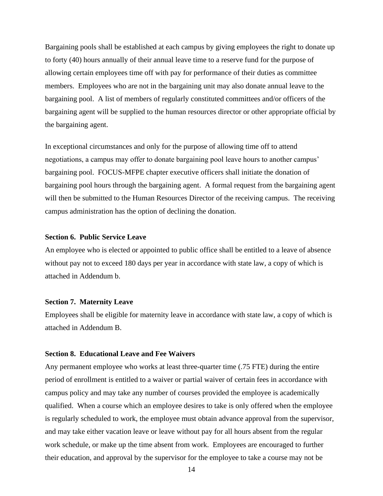Bargaining pools shall be established at each campus by giving employees the right to donate up to forty (40) hours annually of their annual leave time to a reserve fund for the purpose of allowing certain employees time off with pay for performance of their duties as committee members. Employees who are not in the bargaining unit may also donate annual leave to the bargaining pool. A list of members of regularly constituted committees and/or officers of the bargaining agent will be supplied to the human resources director or other appropriate official by the bargaining agent.

In exceptional circumstances and only for the purpose of allowing time off to attend negotiations, a campus may offer to donate bargaining pool leave hours to another campus' bargaining pool. FOCUS-MFPE chapter executive officers shall initiate the donation of bargaining pool hours through the bargaining agent. A formal request from the bargaining agent will then be submitted to the Human Resources Director of the receiving campus. The receiving campus administration has the option of declining the donation.

## <span id="page-19-0"></span>**Section 6. Public Service Leave**

An employee who is elected or appointed to public office shall be entitled to a leave of absence without pay not to exceed 180 days per year in accordance with state law, a copy of which is attached in Addendum b.

#### <span id="page-19-1"></span>**Section 7. Maternity Leave**

Employees shall be eligible for maternity leave in accordance with state law, a copy of which is attached in Addendum B.

## <span id="page-19-2"></span>**Section 8. Educational Leave and Fee Waivers**

Any permanent employee who works at least three-quarter time (.75 FTE) during the entire period of enrollment is entitled to a waiver or partial waiver of certain fees in accordance with campus policy and may take any number of courses provided the employee is academically qualified. When a course which an employee desires to take is only offered when the employee is regularly scheduled to work, the employee must obtain advance approval from the supervisor, and may take either vacation leave or leave without pay for all hours absent from the regular work schedule, or make up the time absent from work. Employees are encouraged to further their education, and approval by the supervisor for the employee to take a course may not be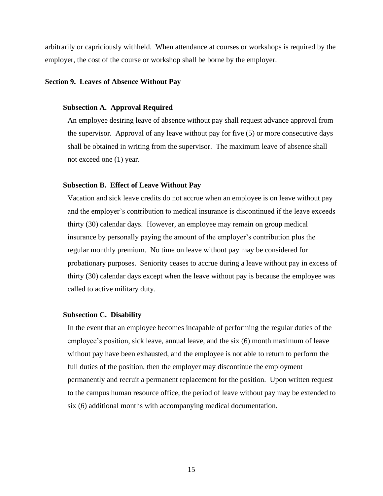arbitrarily or capriciously withheld. When attendance at courses or workshops is required by the employer, the cost of the course or workshop shall be borne by the employer.

## <span id="page-20-0"></span>**Section 9. Leaves of Absence Without Pay**

## <span id="page-20-1"></span>**Subsection A. Approval Required**

An employee desiring leave of absence without pay shall request advance approval from the supervisor. Approval of any leave without pay for five (5) or more consecutive days shall be obtained in writing from the supervisor. The maximum leave of absence shall not exceed one (1) year.

## <span id="page-20-2"></span>**Subsection B. Effect of Leave Without Pay**

Vacation and sick leave credits do not accrue when an employee is on leave without pay and the employer's contribution to medical insurance is discontinued if the leave exceeds thirty (30) calendar days. However, an employee may remain on group medical insurance by personally paying the amount of the employer's contribution plus the regular monthly premium. No time on leave without pay may be considered for probationary purposes. Seniority ceases to accrue during a leave without pay in excess of thirty (30) calendar days except when the leave without pay is because the employee was called to active military duty.

## <span id="page-20-3"></span>**Subsection C. Disability**

In the event that an employee becomes incapable of performing the regular duties of the employee's position, sick leave, annual leave, and the six (6) month maximum of leave without pay have been exhausted, and the employee is not able to return to perform the full duties of the position, then the employer may discontinue the employment permanently and recruit a permanent replacement for the position. Upon written request to the campus human resource office, the period of leave without pay may be extended to six (6) additional months with accompanying medical documentation.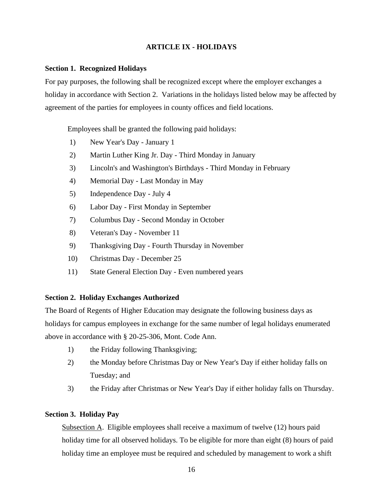## **ARTICLE IX - HOLIDAYS**

## <span id="page-21-1"></span><span id="page-21-0"></span>**Section 1. Recognized Holidays**

For pay purposes, the following shall be recognized except where the employer exchanges a holiday in accordance with Section 2. Variations in the holidays listed below may be affected by agreement of the parties for employees in county offices and field locations.

Employees shall be granted the following paid holidays:

- 1) New Year's Day January 1
- 2) Martin Luther King Jr. Day Third Monday in January
- 3) Lincoln's and Washington's Birthdays Third Monday in February
- 4) Memorial Day Last Monday in May
- 5) Independence Day July 4
- 6) Labor Day First Monday in September
- 7) Columbus Day Second Monday in October
- 8) Veteran's Day November 11
- 9) Thanksgiving Day Fourth Thursday in November
- 10) Christmas Day December 25
- 11) State General Election Day Even numbered years

## <span id="page-21-2"></span>**Section 2. Holiday Exchanges Authorized**

The Board of Regents of Higher Education may designate the following business days as holidays for campus employees in exchange for the same number of legal holidays enumerated above in accordance with § 20-25-306, Mont. Code Ann.

- 1) the Friday following Thanksgiving;
- 2) the Monday before Christmas Day or New Year's Day if either holiday falls on Tuesday; and
- 3) the Friday after Christmas or New Year's Day if either holiday falls on Thursday.

## <span id="page-21-3"></span>**Section 3. Holiday Pay**

Subsection A. Eligible employees shall receive a maximum of twelve (12) hours paid holiday time for all observed holidays. To be eligible for more than eight  $(8)$  hours of paid holiday time an employee must be required and scheduled by management to work a shift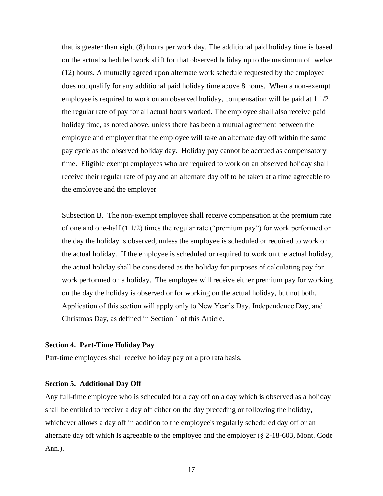that is greater than eight (8) hours per work day. The additional paid holiday time is based on the actual scheduled work shift for that observed holiday up to the maximum of twelve (12) hours. A mutually agreed upon alternate work schedule requested by the employee does not qualify for any additional paid holiday time above 8 hours. When a non-exempt employee is required to work on an observed holiday, compensation will be paid at 1 1/2 the regular rate of pay for all actual hours worked. The employee shall also receive paid holiday time, as noted above, unless there has been a mutual agreement between the employee and employer that the employee will take an alternate day off within the same pay cycle as the observed holiday day. Holiday pay cannot be accrued as compensatory time. Eligible exempt employees who are required to work on an observed holiday shall receive their regular rate of pay and an alternate day off to be taken at a time agreeable to the employee and the employer.

Subsection B. The non-exempt employee shall receive compensation at the premium rate of one and one-half  $(1 \frac{1}{2})$  times the regular rate ("premium pay") for work performed on the day the holiday is observed, unless the employee is scheduled or required to work on the actual holiday. If the employee is scheduled or required to work on the actual holiday, the actual holiday shall be considered as the holiday for purposes of calculating pay for work performed on a holiday. The employee will receive either premium pay for working on the day the holiday is observed or for working on the actual holiday, but not both. Application of this section will apply only to New Year's Day, Independence Day, and Christmas Day, as defined in Section 1 of this Article.

## <span id="page-22-0"></span>**Section 4. Part-Time Holiday Pay**

Part-time employees shall receive holiday pay on a pro rata basis.

## <span id="page-22-1"></span>**Section 5. Additional Day Off**

Any full-time employee who is scheduled for a day off on a day which is observed as a holiday shall be entitled to receive a day off either on the day preceding or following the holiday, whichever allows a day off in addition to the employee's regularly scheduled day off or an alternate day off which is agreeable to the employee and the employer (§ 2-18-603, Mont. Code Ann.).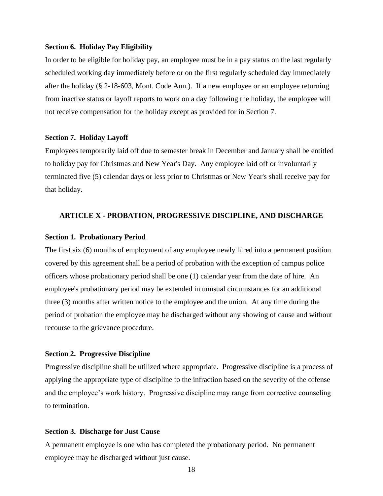## <span id="page-23-0"></span>**Section 6. Holiday Pay Eligibility**

In order to be eligible for holiday pay, an employee must be in a pay status on the last regularly scheduled working day immediately before or on the first regularly scheduled day immediately after the holiday (§ 2-18-603, Mont. Code Ann.). If a new employee or an employee returning from inactive status or layoff reports to work on a day following the holiday, the employee will not receive compensation for the holiday except as provided for in Section 7.

## <span id="page-23-1"></span>**Section 7. Holiday Layoff**

Employees temporarily laid off due to semester break in December and January shall be entitled to holiday pay for Christmas and New Year's Day. Any employee laid off or involuntarily terminated five (5) calendar days or less prior to Christmas or New Year's shall receive pay for that holiday.

## <span id="page-23-2"></span>**ARTICLE X - PROBATION, PROGRESSIVE DISCIPLINE, AND DISCHARGE**

## <span id="page-23-3"></span>**Section 1. Probationary Period**

The first six (6) months of employment of any employee newly hired into a permanent position covered by this agreement shall be a period of probation with the exception of campus police officers whose probationary period shall be one (1) calendar year from the date of hire. An employee's probationary period may be extended in unusual circumstances for an additional three (3) months after written notice to the employee and the union. At any time during the period of probation the employee may be discharged without any showing of cause and without recourse to the grievance procedure.

#### <span id="page-23-4"></span>**Section 2. Progressive Discipline**

Progressive discipline shall be utilized where appropriate. Progressive discipline is a process of applying the appropriate type of discipline to the infraction based on the severity of the offense and the employee's work history. Progressive discipline may range from corrective counseling to termination.

## <span id="page-23-5"></span>**Section 3. Discharge for Just Cause**

A permanent employee is one who has completed the probationary period. No permanent employee may be discharged without just cause.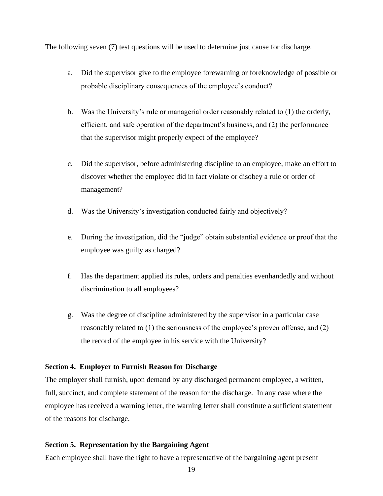The following seven (7) test questions will be used to determine just cause for discharge.

- a. Did the supervisor give to the employee forewarning or foreknowledge of possible or probable disciplinary consequences of the employee's conduct?
- b. Was the University's rule or managerial order reasonably related to (1) the orderly, efficient, and safe operation of the department's business, and (2) the performance that the supervisor might properly expect of the employee?
- c. Did the supervisor, before administering discipline to an employee, make an effort to discover whether the employee did in fact violate or disobey a rule or order of management?
- d. Was the University's investigation conducted fairly and objectively?
- e. During the investigation, did the "judge" obtain substantial evidence or proof that the employee was guilty as charged?
- f. Has the department applied its rules, orders and penalties evenhandedly and without discrimination to all employees?
- g. Was the degree of discipline administered by the supervisor in a particular case reasonably related to (1) the seriousness of the employee's proven offense, and (2) the record of the employee in his service with the University?

## <span id="page-24-0"></span>**Section 4. Employer to Furnish Reason for Discharge**

The employer shall furnish, upon demand by any discharged permanent employee, a written, full, succinct, and complete statement of the reason for the discharge. In any case where the employee has received a warning letter, the warning letter shall constitute a sufficient statement of the reasons for discharge.

## <span id="page-24-1"></span>**Section 5. Representation by the Bargaining Agent**

Each employee shall have the right to have a representative of the bargaining agent present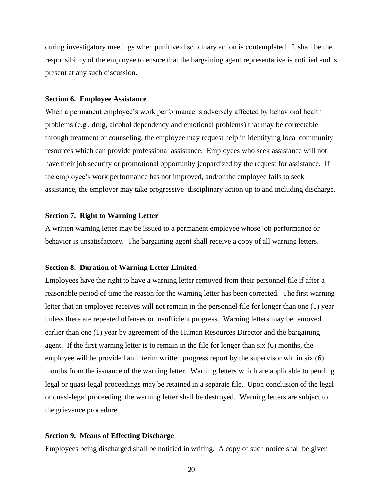during investigatory meetings when punitive disciplinary action is contemplated. It shall be the responsibility of the employee to ensure that the bargaining agent representative is notified and is present at any such discussion.

#### <span id="page-25-0"></span>**Section 6. Employee Assistance**

When a permanent employee's work performance is adversely affected by behavioral health problems (e.g., drug, alcohol dependency and emotional problems) that may be correctable through treatment or counseling, the employee may request help in identifying local community resources which can provide professional assistance. Employees who seek assistance will not have their job security or promotional opportunity jeopardized by the request for assistance. If the employee's work performance has not improved, and/or the employee fails to seek assistance, the employer may take progressive disciplinary action up to and including discharge.

## <span id="page-25-1"></span>**Section 7. Right to Warning Letter**

A written warning letter may be issued to a permanent employee whose job performance or behavior is unsatisfactory. The bargaining agent shall receive a copy of all warning letters.

#### <span id="page-25-2"></span>**Section 8. Duration of Warning Letter Limited**

Employees have the right to have a warning letter removed from their personnel file if after a reasonable period of time the reason for the warning letter has been corrected. The first warning letter that an employee receives will not remain in the personnel file for longer than one (1) year unless there are repeated offenses or insufficient progress. Warning letters may be removed earlier than one (1) year by agreement of the Human Resources Director and the bargaining agent. If the first warning letter is to remain in the file for longer than six (6) months, the employee will be provided an interim written progress report by the supervisor within six (6) months from the issuance of the warning letter. Warning letters which are applicable to pending legal or quasi-legal proceedings may be retained in a separate file. Upon conclusion of the legal or quasi-legal proceeding, the warning letter shall be destroyed. Warning letters are subject to the grievance procedure.

## <span id="page-25-3"></span>**Section 9. Means of Effecting Discharge**

Employees being discharged shall be notified in writing. A copy of such notice shall be given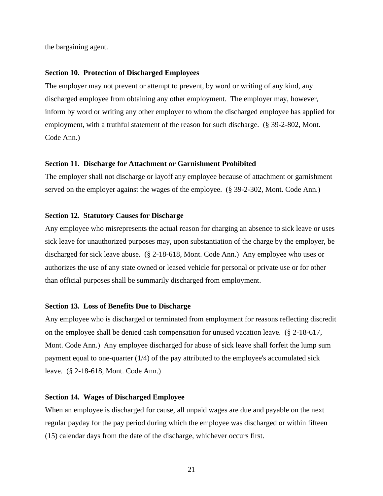the bargaining agent.

#### <span id="page-26-0"></span>**Section 10. Protection of Discharged Employees**

The employer may not prevent or attempt to prevent, by word or writing of any kind, any discharged employee from obtaining any other employment. The employer may, however, inform by word or writing any other employer to whom the discharged employee has applied for employment, with a truthful statement of the reason for such discharge. (§ 39-2-802, Mont. Code Ann.)

## <span id="page-26-1"></span>**Section 11. Discharge for Attachment or Garnishment Prohibited**

The employer shall not discharge or layoff any employee because of attachment or garnishment served on the employer against the wages of the employee. (§ 39-2-302, Mont. Code Ann.)

## <span id="page-26-2"></span>**Section 12. Statutory Causes for Discharge**

Any employee who misrepresents the actual reason for charging an absence to sick leave or uses sick leave for unauthorized purposes may, upon substantiation of the charge by the employer, be discharged for sick leave abuse. (§ 2-18-618, Mont. Code Ann.) Any employee who uses or authorizes the use of any state owned or leased vehicle for personal or private use or for other than official purposes shall be summarily discharged from employment.

## <span id="page-26-3"></span>**Section 13. Loss of Benefits Due to Discharge**

Any employee who is discharged or terminated from employment for reasons reflecting discredit on the employee shall be denied cash compensation for unused vacation leave. (§ 2-18-617, Mont. Code Ann.) Any employee discharged for abuse of sick leave shall forfeit the lump sum payment equal to one-quarter (1/4) of the pay attributed to the employee's accumulated sick leave. (§ 2-18-618, Mont. Code Ann.)

## <span id="page-26-4"></span>**Section 14. Wages of Discharged Employee**

When an employee is discharged for cause, all unpaid wages are due and payable on the next regular payday for the pay period during which the employee was discharged or within fifteen (15) calendar days from the date of the discharge, whichever occurs first.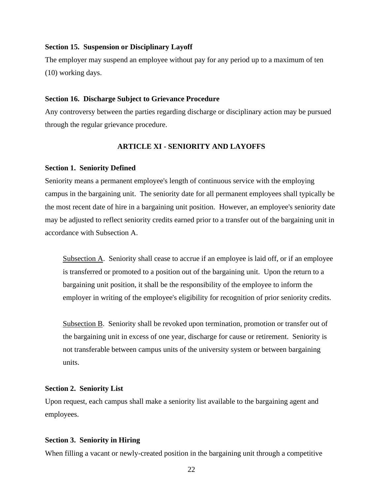## <span id="page-27-0"></span>**Section 15. Suspension or Disciplinary Layoff**

The employer may suspend an employee without pay for any period up to a maximum of ten (10) working days.

#### <span id="page-27-1"></span>**Section 16. Discharge Subject to Grievance Procedure**

Any controversy between the parties regarding discharge or disciplinary action may be pursued through the regular grievance procedure.

## **ARTICLE XI - SENIORITY AND LAYOFFS**

#### <span id="page-27-3"></span><span id="page-27-2"></span>**Section 1. Seniority Defined**

Seniority means a permanent employee's length of continuous service with the employing campus in the bargaining unit. The seniority date for all permanent employees shall typically be the most recent date of hire in a bargaining unit position. However, an employee's seniority date may be adjusted to reflect seniority credits earned prior to a transfer out of the bargaining unit in accordance with Subsection A.

Subsection A. Seniority shall cease to accrue if an employee is laid off, or if an employee is transferred or promoted to a position out of the bargaining unit. Upon the return to a bargaining unit position, it shall be the responsibility of the employee to inform the employer in writing of the employee's eligibility for recognition of prior seniority credits.

Subsection B. Seniority shall be revoked upon termination, promotion or transfer out of the bargaining unit in excess of one year, discharge for cause or retirement. Seniority is not transferable between campus units of the university system or between bargaining units.

#### <span id="page-27-4"></span>**Section 2. Seniority List**

Upon request, each campus shall make a seniority list available to the bargaining agent and employees.

## <span id="page-27-5"></span>**Section 3. Seniority in Hiring**

When filling a vacant or newly-created position in the bargaining unit through a competitive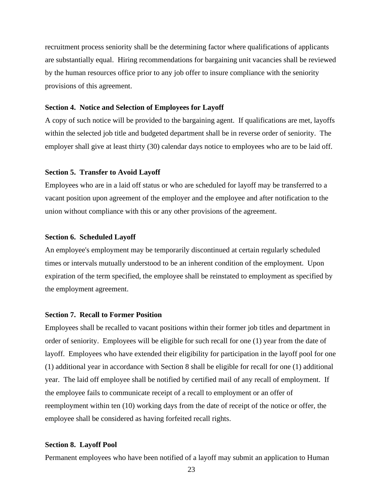recruitment process seniority shall be the determining factor where qualifications of applicants are substantially equal. Hiring recommendations for bargaining unit vacancies shall be reviewed by the human resources office prior to any job offer to insure compliance with the seniority provisions of this agreement.

## <span id="page-28-0"></span>**Section 4. Notice and Selection of Employees for Layoff**

A copy of such notice will be provided to the bargaining agent. If qualifications are met, layoffs within the selected job title and budgeted department shall be in reverse order of seniority. The employer shall give at least thirty (30) calendar days notice to employees who are to be laid off.

## <span id="page-28-1"></span>**Section 5. Transfer to Avoid Layoff**

Employees who are in a laid off status or who are scheduled for layoff may be transferred to a vacant position upon agreement of the employer and the employee and after notification to the union without compliance with this or any other provisions of the agreement.

## <span id="page-28-2"></span>**Section 6. Scheduled Layoff**

An employee's employment may be temporarily discontinued at certain regularly scheduled times or intervals mutually understood to be an inherent condition of the employment. Upon expiration of the term specified, the employee shall be reinstated to employment as specified by the employment agreement.

## <span id="page-28-3"></span>**Section 7. Recall to Former Position**

Employees shall be recalled to vacant positions within their former job titles and department in order of seniority. Employees will be eligible for such recall for one (1) year from the date of layoff. Employees who have extended their eligibility for participation in the layoff pool for one (1) additional year in accordance with Section 8 shall be eligible for recall for one (1) additional year. The laid off employee shall be notified by certified mail of any recall of employment. If the employee fails to communicate receipt of a recall to employment or an offer of reemployment within ten (10) working days from the date of receipt of the notice or offer, the employee shall be considered as having forfeited recall rights.

## <span id="page-28-4"></span>**Section 8. Layoff Pool**

Permanent employees who have been notified of a layoff may submit an application to Human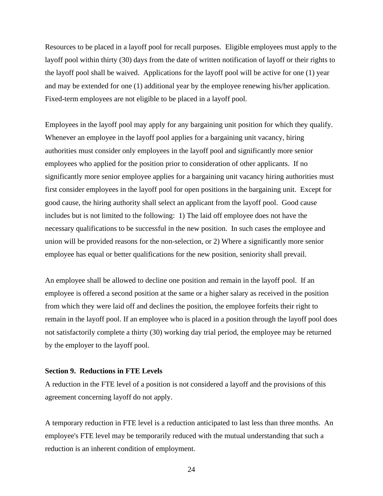Resources to be placed in a layoff pool for recall purposes. Eligible employees must apply to the layoff pool within thirty (30) days from the date of written notification of layoff or their rights to the layoff pool shall be waived. Applications for the layoff pool will be active for one (1) year and may be extended for one (1) additional year by the employee renewing his/her application. Fixed-term employees are not eligible to be placed in a layoff pool.

Employees in the layoff pool may apply for any bargaining unit position for which they qualify. Whenever an employee in the layoff pool applies for a bargaining unit vacancy, hiring authorities must consider only employees in the layoff pool and significantly more senior employees who applied for the position prior to consideration of other applicants. If no significantly more senior employee applies for a bargaining unit vacancy hiring authorities must first consider employees in the layoff pool for open positions in the bargaining unit. Except for good cause, the hiring authority shall select an applicant from the layoff pool. Good cause includes but is not limited to the following: 1) The laid off employee does not have the necessary qualifications to be successful in the new position. In such cases the employee and union will be provided reasons for the non-selection, or 2) Where a significantly more senior employee has equal or better qualifications for the new position, seniority shall prevail.

An employee shall be allowed to decline one position and remain in the layoff pool. If an employee is offered a second position at the same or a higher salary as received in the position from which they were laid off and declines the position, the employee forfeits their right to remain in the layoff pool. If an employee who is placed in a position through the layoff pool does not satisfactorily complete a thirty (30) working day trial period, the employee may be returned by the employer to the layoff pool.

#### <span id="page-29-0"></span>**Section 9. Reductions in FTE Levels**

A reduction in the FTE level of a position is not considered a layoff and the provisions of this agreement concerning layoff do not apply.

A temporary reduction in FTE level is a reduction anticipated to last less than three months. An employee's FTE level may be temporarily reduced with the mutual understanding that such a reduction is an inherent condition of employment.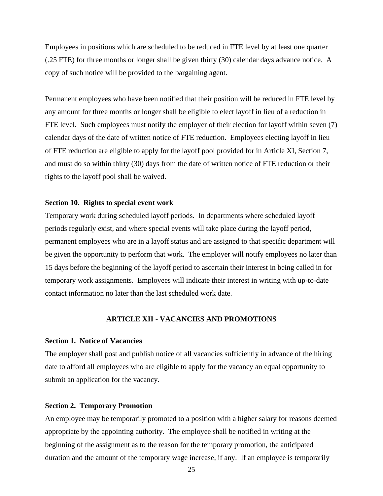Employees in positions which are scheduled to be reduced in FTE level by at least one quarter (.25 FTE) for three months or longer shall be given thirty (30) calendar days advance notice. A copy of such notice will be provided to the bargaining agent.

Permanent employees who have been notified that their position will be reduced in FTE level by any amount for three months or longer shall be eligible to elect layoff in lieu of a reduction in FTE level. Such employees must notify the employer of their election for layoff within seven (7) calendar days of the date of written notice of FTE reduction. Employees electing layoff in lieu of FTE reduction are eligible to apply for the layoff pool provided for in Article XI, Section 7, and must do so within thirty (30) days from the date of written notice of FTE reduction or their rights to the layoff pool shall be waived.

## <span id="page-30-0"></span>**Section 10. Rights to special event work**

Temporary work during scheduled layoff periods. In departments where scheduled layoff periods regularly exist, and where special events will take place during the layoff period, permanent employees who are in a layoff status and are assigned to that specific department will be given the opportunity to perform that work. The employer will notify employees no later than 15 days before the beginning of the layoff period to ascertain their interest in being called in for temporary work assignments. Employees will indicate their interest in writing with up-to-date contact information no later than the last scheduled work date.

## **ARTICLE XII - VACANCIES AND PROMOTIONS**

#### <span id="page-30-2"></span><span id="page-30-1"></span>**Section 1. Notice of Vacancies**

The employer shall post and publish notice of all vacancies sufficiently in advance of the hiring date to afford all employees who are eligible to apply for the vacancy an equal opportunity to submit an application for the vacancy.

#### <span id="page-30-3"></span>**Section 2. Temporary Promotion**

An employee may be temporarily promoted to a position with a higher salary for reasons deemed appropriate by the appointing authority. The employee shall be notified in writing at the beginning of the assignment as to the reason for the temporary promotion, the anticipated duration and the amount of the temporary wage increase, if any. If an employee is temporarily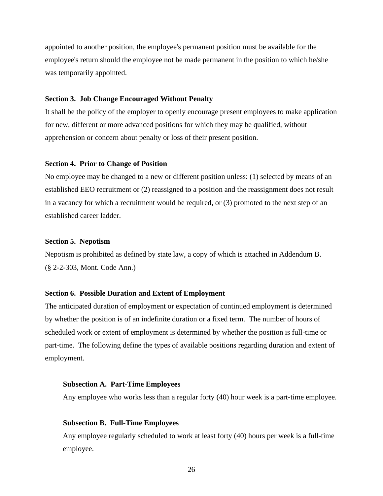appointed to another position, the employee's permanent position must be available for the employee's return should the employee not be made permanent in the position to which he/she was temporarily appointed.

#### <span id="page-31-0"></span>**Section 3. Job Change Encouraged Without Penalty**

It shall be the policy of the employer to openly encourage present employees to make application for new, different or more advanced positions for which they may be qualified, without apprehension or concern about penalty or loss of their present position.

#### <span id="page-31-1"></span>**Section 4. Prior to Change of Position**

No employee may be changed to a new or different position unless: (1) selected by means of an established EEO recruitment or (2) reassigned to a position and the reassignment does not result in a vacancy for which a recruitment would be required, or (3) promoted to the next step of an established career ladder.

## <span id="page-31-2"></span>**Section 5. Nepotism**

Nepotism is prohibited as defined by state law, a copy of which is attached in Addendum B. (§ 2-2-303, Mont. Code Ann.)

## <span id="page-31-3"></span>**Section 6. Possible Duration and Extent of Employment**

The anticipated duration of employment or expectation of continued employment is determined by whether the position is of an indefinite duration or a fixed term. The number of hours of scheduled work or extent of employment is determined by whether the position is full-time or part-time. The following define the types of available positions regarding duration and extent of employment.

#### <span id="page-31-4"></span>**Subsection A. Part-Time Employees**

Any employee who works less than a regular forty (40) hour week is a part-time employee.

## <span id="page-31-5"></span>**Subsection B. Full-Time Employees**

Any employee regularly scheduled to work at least forty (40) hours per week is a full-time employee.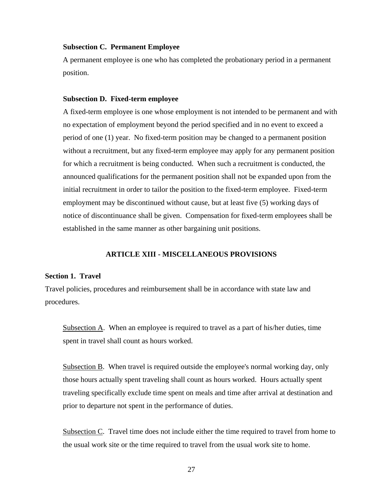## <span id="page-32-0"></span>**Subsection C. Permanent Employee**

A permanent employee is one who has completed the probationary period in a permanent position.

#### <span id="page-32-1"></span>**Subsection D. Fixed-term employee**

A fixed-term employee is one whose employment is not intended to be permanent and with no expectation of employment beyond the period specified and in no event to exceed a period of one (1) year. No fixed-term position may be changed to a permanent position without a recruitment, but any fixed-term employee may apply for any permanent position for which a recruitment is being conducted. When such a recruitment is conducted, the announced qualifications for the permanent position shall not be expanded upon from the initial recruitment in order to tailor the position to the fixed-term employee. Fixed-term employment may be discontinued without cause, but at least five (5) working days of notice of discontinuance shall be given. Compensation for fixed-term employees shall be established in the same manner as other bargaining unit positions.

## **ARTICLE XIII - MISCELLANEOUS PROVISIONS**

#### <span id="page-32-3"></span><span id="page-32-2"></span>**Section 1. Travel**

Travel policies, procedures and reimbursement shall be in accordance with state law and procedures.

Subsection A. When an employee is required to travel as a part of his/her duties, time spent in travel shall count as hours worked.

Subsection B. When travel is required outside the employee's normal working day, only those hours actually spent traveling shall count as hours worked. Hours actually spent traveling specifically exclude time spent on meals and time after arrival at destination and prior to departure not spent in the performance of duties.

Subsection C. Travel time does not include either the time required to travel from home to the usual work site or the time required to travel from the usual work site to home.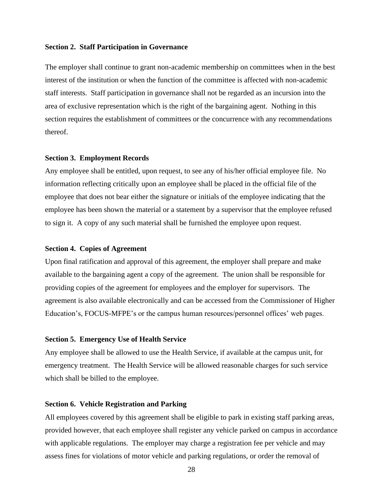## <span id="page-33-0"></span>**Section 2. Staff Participation in Governance**

The employer shall continue to grant non-academic membership on committees when in the best interest of the institution or when the function of the committee is affected with non-academic staff interests. Staff participation in governance shall not be regarded as an incursion into the area of exclusive representation which is the right of the bargaining agent. Nothing in this section requires the establishment of committees or the concurrence with any recommendations thereof.

#### <span id="page-33-1"></span>**Section 3. Employment Records**

Any employee shall be entitled, upon request, to see any of his/her official employee file. No information reflecting critically upon an employee shall be placed in the official file of the employee that does not bear either the signature or initials of the employee indicating that the employee has been shown the material or a statement by a supervisor that the employee refused to sign it. A copy of any such material shall be furnished the employee upon request.

#### <span id="page-33-2"></span>**Section 4. Copies of Agreement**

Upon final ratification and approval of this agreement, the employer shall prepare and make available to the bargaining agent a copy of the agreement. The union shall be responsible for providing copies of the agreement for employees and the employer for supervisors. The agreement is also available electronically and can be accessed from the Commissioner of Higher Education's, FOCUS-MFPE's or the campus human resources/personnel offices' web pages.

## <span id="page-33-3"></span>**Section 5. Emergency Use of Health Service**

Any employee shall be allowed to use the Health Service, if available at the campus unit, for emergency treatment. The Health Service will be allowed reasonable charges for such service which shall be billed to the employee.

## <span id="page-33-4"></span>**Section 6. Vehicle Registration and Parking**

All employees covered by this agreement shall be eligible to park in existing staff parking areas, provided however, that each employee shall register any vehicle parked on campus in accordance with applicable regulations. The employer may charge a registration fee per vehicle and may assess fines for violations of motor vehicle and parking regulations, or order the removal of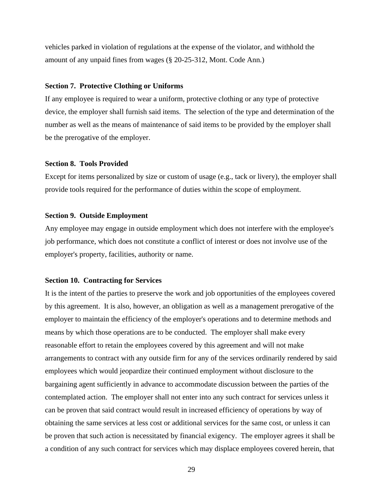vehicles parked in violation of regulations at the expense of the violator, and withhold the amount of any unpaid fines from wages (§ 20-25-312, Mont. Code Ann.)

## <span id="page-34-0"></span>**Section 7. Protective Clothing or Uniforms**

If any employee is required to wear a uniform, protective clothing or any type of protective device, the employer shall furnish said items. The selection of the type and determination of the number as well as the means of maintenance of said items to be provided by the employer shall be the prerogative of the employer.

## <span id="page-34-1"></span>**Section 8. Tools Provided**

Except for items personalized by size or custom of usage (e.g., tack or livery), the employer shall provide tools required for the performance of duties within the scope of employment.

## <span id="page-34-2"></span>**Section 9. Outside Employment**

Any employee may engage in outside employment which does not interfere with the employee's job performance, which does not constitute a conflict of interest or does not involve use of the employer's property, facilities, authority or name.

## <span id="page-34-3"></span>**Section 10. Contracting for Services**

It is the intent of the parties to preserve the work and job opportunities of the employees covered by this agreement. It is also, however, an obligation as well as a management prerogative of the employer to maintain the efficiency of the employer's operations and to determine methods and means by which those operations are to be conducted. The employer shall make every reasonable effort to retain the employees covered by this agreement and will not make arrangements to contract with any outside firm for any of the services ordinarily rendered by said employees which would jeopardize their continued employment without disclosure to the bargaining agent sufficiently in advance to accommodate discussion between the parties of the contemplated action. The employer shall not enter into any such contract for services unless it can be proven that said contract would result in increased efficiency of operations by way of obtaining the same services at less cost or additional services for the same cost, or unless it can be proven that such action is necessitated by financial exigency. The employer agrees it shall be a condition of any such contract for services which may displace employees covered herein, that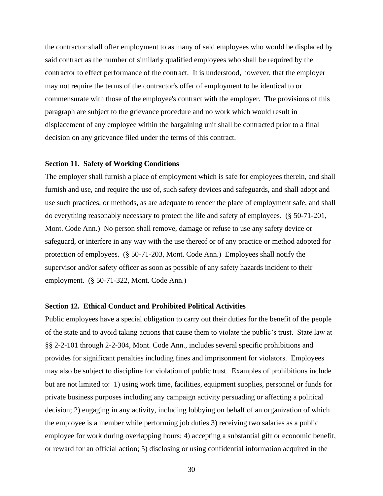the contractor shall offer employment to as many of said employees who would be displaced by said contract as the number of similarly qualified employees who shall be required by the contractor to effect performance of the contract. It is understood, however, that the employer may not require the terms of the contractor's offer of employment to be identical to or commensurate with those of the employee's contract with the employer. The provisions of this paragraph are subject to the grievance procedure and no work which would result in displacement of any employee within the bargaining unit shall be contracted prior to a final decision on any grievance filed under the terms of this contract.

## <span id="page-35-0"></span>**Section 11. Safety of Working Conditions**

The employer shall furnish a place of employment which is safe for employees therein, and shall furnish and use, and require the use of, such safety devices and safeguards, and shall adopt and use such practices, or methods, as are adequate to render the place of employment safe, and shall do everything reasonably necessary to protect the life and safety of employees. (§ 50-71-201, Mont. Code Ann.) No person shall remove, damage or refuse to use any safety device or safeguard, or interfere in any way with the use thereof or of any practice or method adopted for protection of employees. (§ 50-71-203, Mont. Code Ann.) Employees shall notify the supervisor and/or safety officer as soon as possible of any safety hazards incident to their employment. (§ 50-71-322, Mont. Code Ann.)

## <span id="page-35-1"></span>**Section 12. Ethical Conduct and Prohibited Political Activities**

Public employees have a special obligation to carry out their duties for the benefit of the people of the state and to avoid taking actions that cause them to violate the public's trust. State law at §§ 2-2-101 through 2-2-304, Mont. Code Ann., includes several specific prohibitions and provides for significant penalties including fines and imprisonment for violators. Employees may also be subject to discipline for violation of public trust. Examples of prohibitions include but are not limited to: 1) using work time, facilities, equipment supplies, personnel or funds for private business purposes including any campaign activity persuading or affecting a political decision; 2) engaging in any activity, including lobbying on behalf of an organization of which the employee is a member while performing job duties 3) receiving two salaries as a public employee for work during overlapping hours; 4) accepting a substantial gift or economic benefit, or reward for an official action; 5) disclosing or using confidential information acquired in the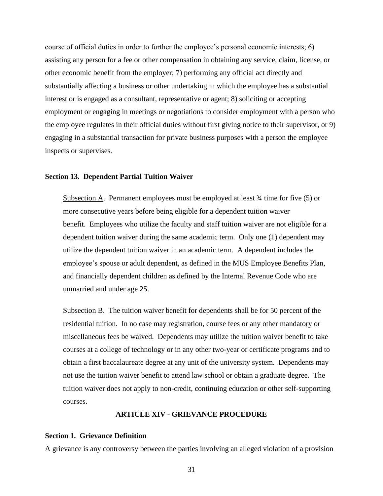course of official duties in order to further the employee's personal economic interests; 6) assisting any person for a fee or other compensation in obtaining any service, claim, license, or other economic benefit from the employer; 7) performing any official act directly and substantially affecting a business or other undertaking in which the employee has a substantial interest or is engaged as a consultant, representative or agent; 8) soliciting or accepting employment or engaging in meetings or negotiations to consider employment with a person who the employee regulates in their official duties without first giving notice to their supervisor, or 9) engaging in a substantial transaction for private business purposes with a person the employee inspects or supervises.

## <span id="page-36-0"></span>**Section 13. Dependent Partial Tuition Waiver**

Subsection A. Permanent employees must be employed at least  $\frac{3}{4}$  time for five (5) or more consecutive years before being eligible for a dependent tuition waiver benefit. Employees who utilize the faculty and staff tuition waiver are not eligible for a dependent tuition waiver during the same academic term. Only one (1) dependent may utilize the dependent tuition waiver in an academic term. A dependent includes the employee's spouse or adult dependent, as defined in the MUS Employee Benefits Plan, and financially dependent children as defined by the Internal Revenue Code who are unmarried and under age 25.

Subsection B. The tuition waiver benefit for dependents shall be for 50 percent of the residential tuition. In no case may registration, course fees or any other mandatory or miscellaneous fees be waived. Dependents may utilize the tuition waiver benefit to take courses at a college of technology or in any other two-year or certificate programs and to obtain a first baccalaureate degree at any unit of the university system. Dependents may not use the tuition waiver benefit to attend law school or obtain a graduate degree. The tuition waiver does not apply to non-credit, continuing education or other self-supporting courses.

## **ARTICLE XIV - GRIEVANCE PROCEDURE**

#### <span id="page-36-2"></span><span id="page-36-1"></span>**Section 1. Grievance Definition**

A grievance is any controversy between the parties involving an alleged violation of a provision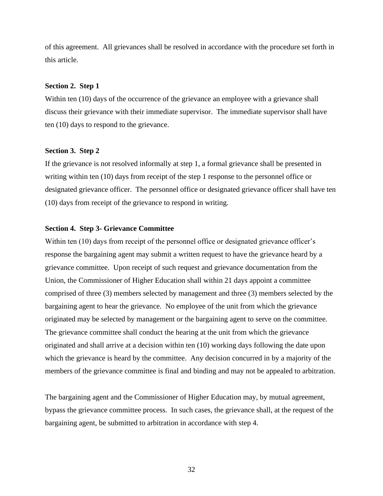of this agreement. All grievances shall be resolved in accordance with the procedure set forth in this article.

## <span id="page-37-0"></span>**Section 2. Step 1**

Within ten (10) days of the occurrence of the grievance an employee with a grievance shall discuss their grievance with their immediate supervisor. The immediate supervisor shall have ten (10) days to respond to the grievance.

#### <span id="page-37-1"></span>**Section 3. Step 2**

If the grievance is not resolved informally at step 1, a formal grievance shall be presented in writing within ten (10) days from receipt of the step 1 response to the personnel office or designated grievance officer. The personnel office or designated grievance officer shall have ten (10) days from receipt of the grievance to respond in writing.

## <span id="page-37-2"></span>**Section 4. Step 3- Grievance Committee**

Within ten (10) days from receipt of the personnel office or designated grievance officer's response the bargaining agent may submit a written request to have the grievance heard by a grievance committee. Upon receipt of such request and grievance documentation from the Union, the Commissioner of Higher Education shall within 21 days appoint a committee comprised of three (3) members selected by management and three (3) members selected by the bargaining agent to hear the grievance. No employee of the unit from which the grievance originated may be selected by management or the bargaining agent to serve on the committee. The grievance committee shall conduct the hearing at the unit from which the grievance originated and shall arrive at a decision within ten (10) working days following the date upon which the grievance is heard by the committee. Any decision concurred in by a majority of the members of the grievance committee is final and binding and may not be appealed to arbitration.

The bargaining agent and the Commissioner of Higher Education may, by mutual agreement, bypass the grievance committee process. In such cases, the grievance shall, at the request of the bargaining agent, be submitted to arbitration in accordance with step 4.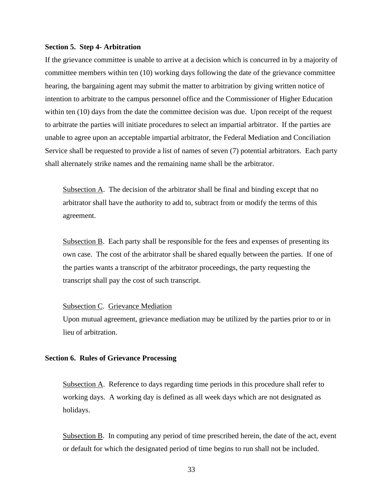#### <span id="page-38-0"></span>**Section 5. Step 4- Arbitration**

If the grievance committee is unable to arrive at a decision which is concurred in by a majority of committee members within ten (10) working days following the date of the grievance committee hearing, the bargaining agent may submit the matter to arbitration by giving written notice of intention to arbitrate to the campus personnel office and the Commissioner of Higher Education within ten (10) days from the date the committee decision was due. Upon receipt of the request to arbitrate the parties will initiate procedures to select an impartial arbitrator. If the parties are unable to agree upon an acceptable impartial arbitrator, the Federal Mediation and Conciliation Service shall be requested to provide a list of names of seven (7) potential arbitrators. Each party shall alternately strike names and the remaining name shall be the arbitrator.

Subsection A. The decision of the arbitrator shall be final and binding except that no arbitrator shall have the authority to add to, subtract from or modify the terms of this agreement.

Subsection B. Each party shall be responsible for the fees and expenses of presenting its own case. The cost of the arbitrator shall be shared equally between the parties. If one of the parties wants a transcript of the arbitrator proceedings, the party requesting the transcript shall pay the cost of such transcript.

## Subsection C. Grievance Mediation

Upon mutual agreement, grievance mediation may be utilized by the parties prior to or in lieu of arbitration.

## <span id="page-38-1"></span>**Section 6. Rules of Grievance Processing**

Subsection A. Reference to days regarding time periods in this procedure shall refer to working days. A working day is defined as all week days which are not designated as holidays.

Subsection B. In computing any period of time prescribed herein, the date of the act, event or default for which the designated period of time begins to run shall not be included.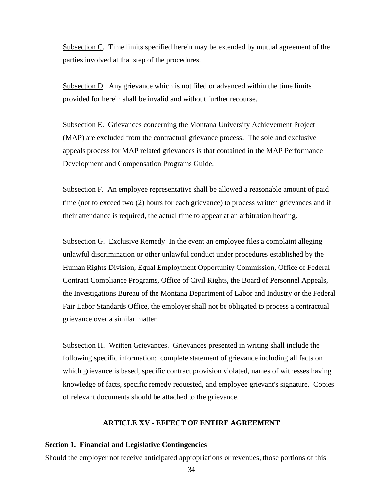Subsection C. Time limits specified herein may be extended by mutual agreement of the parties involved at that step of the procedures.

Subsection D. Any grievance which is not filed or advanced within the time limits provided for herein shall be invalid and without further recourse.

Subsection E. Grievances concerning the Montana University Achievement Project (MAP) are excluded from the contractual grievance process. The sole and exclusive appeals process for MAP related grievances is that contained in the MAP Performance Development and Compensation Programs Guide.

Subsection F. An employee representative shall be allowed a reasonable amount of paid time (not to exceed two (2) hours for each grievance) to process written grievances and if their attendance is required, the actual time to appear at an arbitration hearing.

Subsection G. Exclusive Remedy In the event an employee files a complaint alleging unlawful discrimination or other unlawful conduct under procedures established by the Human Rights Division, Equal Employment Opportunity Commission, Office of Federal Contract Compliance Programs, Office of Civil Rights, the Board of Personnel Appeals, the Investigations Bureau of the Montana Department of Labor and Industry or the Federal Fair Labor Standards Office, the employer shall not be obligated to process a contractual grievance over a similar matter.

Subsection H. Written Grievances. Grievances presented in writing shall include the following specific information: complete statement of grievance including all facts on which grievance is based, specific contract provision violated, names of witnesses having knowledge of facts, specific remedy requested, and employee grievant's signature. Copies of relevant documents should be attached to the grievance.

## **ARTICLE XV - EFFECT OF ENTIRE AGREEMENT**

## <span id="page-39-1"></span><span id="page-39-0"></span>**Section 1. Financial and Legislative Contingencies**

Should the employer not receive anticipated appropriations or revenues, those portions of this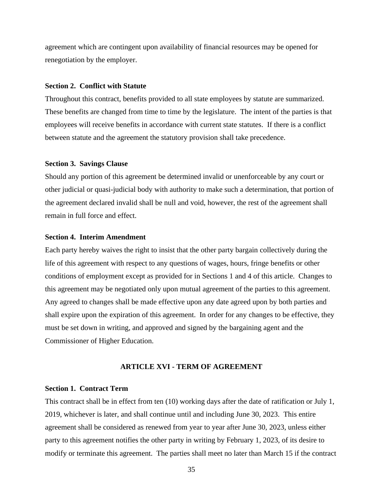agreement which are contingent upon availability of financial resources may be opened for renegotiation by the employer.

## <span id="page-40-0"></span>**Section 2. Conflict with Statute**

Throughout this contract, benefits provided to all state employees by statute are summarized. These benefits are changed from time to time by the legislature. The intent of the parties is that employees will receive benefits in accordance with current state statutes. If there is a conflict between statute and the agreement the statutory provision shall take precedence.

## <span id="page-40-1"></span>**Section 3. Savings Clause**

Should any portion of this agreement be determined invalid or unenforceable by any court or other judicial or quasi-judicial body with authority to make such a determination, that portion of the agreement declared invalid shall be null and void, however, the rest of the agreement shall remain in full force and effect.

## <span id="page-40-2"></span>**Section 4. Interim Amendment**

Each party hereby waives the right to insist that the other party bargain collectively during the life of this agreement with respect to any questions of wages, hours, fringe benefits or other conditions of employment except as provided for in Sections 1 and 4 of this article. Changes to this agreement may be negotiated only upon mutual agreement of the parties to this agreement. Any agreed to changes shall be made effective upon any date agreed upon by both parties and shall expire upon the expiration of this agreement. In order for any changes to be effective, they must be set down in writing, and approved and signed by the bargaining agent and the Commissioner of Higher Education.

## **ARTICLE XVI - TERM OF AGREEMENT**

### <span id="page-40-4"></span><span id="page-40-3"></span>**Section 1. Contract Term**

This contract shall be in effect from ten (10) working days after the date of ratification or July 1, 2019, whichever is later, and shall continue until and including June 30, 2023. This entire agreement shall be considered as renewed from year to year after June 30, 2023, unless either party to this agreement notifies the other party in writing by February 1, 2023, of its desire to modify or terminate this agreement. The parties shall meet no later than March 15 if the contract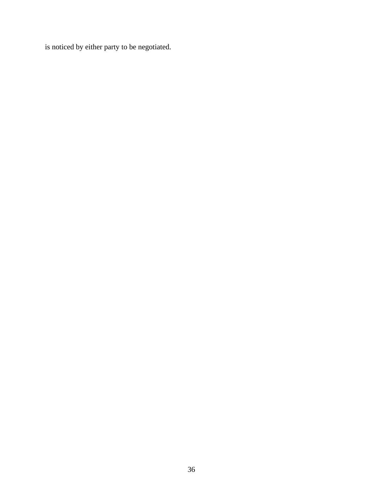is noticed by either party to be negotiated.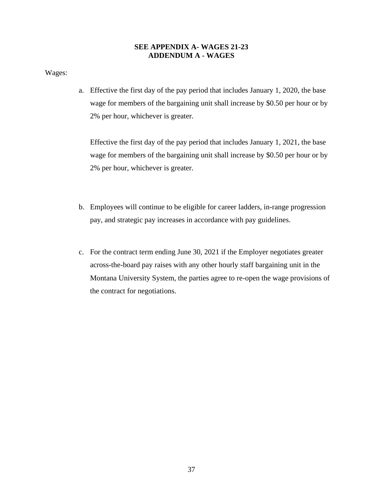## **SEE APPENDIX A- WAGES 21-23 ADDENDUM A - WAGES**

<span id="page-42-0"></span>Wages:

a. Effective the first day of the pay period that includes January 1, 2020, the base wage for members of the bargaining unit shall increase by \$0.50 per hour or by 2% per hour, whichever is greater.

Effective the first day of the pay period that includes January 1, 2021, the base wage for members of the bargaining unit shall increase by \$0.50 per hour or by 2% per hour, whichever is greater.

- b. Employees will continue to be eligible for career ladders, in-range progression pay, and strategic pay increases in accordance with pay guidelines.
- c. For the contract term ending June 30, 2021 if the Employer negotiates greater across-the-board pay raises with any other hourly staff bargaining unit in the Montana University System, the parties agree to re-open the wage provisions of the contract for negotiations.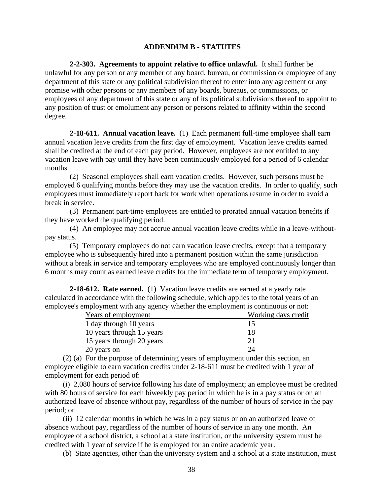## <span id="page-43-0"></span>**ADDENDUM B - STATUTES**

**2-2-303. Agreements to appoint relative to office unlawful.** It shall further be unlawful for any person or any member of any board, bureau, or commission or employee of any department of this state or any political subdivision thereof to enter into any agreement or any promise with other persons or any members of any boards, bureaus, or commissions, or employees of any department of this state or any of its political subdivisions thereof to appoint to any position of trust or emolument any person or persons related to affinity within the second degree.

**2-18-611. Annual vacation leave.** (1) Each permanent full-time employee shall earn annual vacation leave credits from the first day of employment. Vacation leave credits earned shall be credited at the end of each pay period. However, employees are not entitled to any vacation leave with pay until they have been continuously employed for a period of 6 calendar months.

(2) Seasonal employees shall earn vacation credits. However, such persons must be employed 6 qualifying months before they may use the vacation credits. In order to qualify, such employees must immediately report back for work when operations resume in order to avoid a break in service.

(3) Permanent part-time employees are entitled to prorated annual vacation benefits if they have worked the qualifying period.

(4) An employee may not accrue annual vacation leave credits while in a leave-withoutpay status.

(5) Temporary employees do not earn vacation leave credits, except that a temporary employee who is subsequently hired into a permanent position within the same jurisdiction without a break in service and temporary employees who are employed continuously longer than 6 months may count as earned leave credits for the immediate term of temporary employment.

**2-18-612. Rate earned.** (1) Vacation leave credits are earned at a yearly rate calculated in accordance with the following schedule, which applies to the total years of an employee's employment with any agency whether the employment is continuous or not:

| Years of employment       | Working days credit |  |  |
|---------------------------|---------------------|--|--|
| 1 day through 10 years    |                     |  |  |
| 10 years through 15 years | 18                  |  |  |
| 15 years through 20 years | 21                  |  |  |
| 20 years on               | 24                  |  |  |

(2) (a) For the purpose of determining years of employment under this section, an employee eligible to earn vacation credits under 2-18-611 must be credited with 1 year of employment for each period of:

(i) 2,080 hours of service following his date of employment; an employee must be credited with 80 hours of service for each biweekly pay period in which he is in a pay status or on an authorized leave of absence without pay, regardless of the number of hours of service in the pay period; or

(ii) 12 calendar months in which he was in a pay status or on an authorized leave of absence without pay, regardless of the number of hours of service in any one month. An employee of a school district, a school at a state institution, or the university system must be credited with 1 year of service if he is employed for an entire academic year.

(b) State agencies, other than the university system and a school at a state institution, must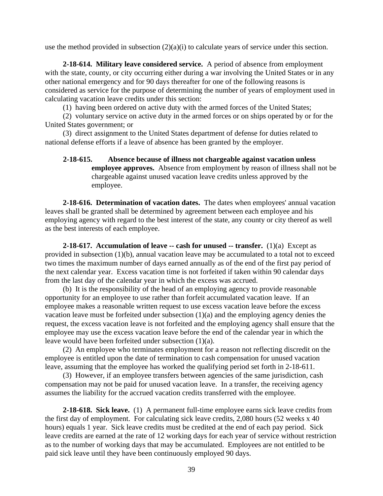use the method provided in subsection  $(2)(a)(i)$  to calculate years of service under this section.

**2-18-614. Military leave considered service.** A period of absence from employment with the state, county, or city occurring either during a war involving the United States or in any other national emergency and for 90 days thereafter for one of the following reasons is considered as service for the purpose of determining the number of years of employment used in calculating vacation leave credits under this section:

(1) having been ordered on active duty with the armed forces of the United States;

(2) voluntary service on active duty in the armed forces or on ships operated by or for the United States government; or

(3) direct assignment to the United States department of defense for duties related to national defense efforts if a leave of absence has been granted by the employer.

**2-18-615. Absence because of illness not chargeable against vacation unless employee approves.** Absence from employment by reason of illness shall not be chargeable against unused vacation leave credits unless approved by the employee.

**2-18-616. Determination of vacation dates.** The dates when employees' annual vacation leaves shall be granted shall be determined by agreement between each employee and his employing agency with regard to the best interest of the state, any county or city thereof as well as the best interests of each employee.

**2-18-617. Accumulation of leave -- cash for unused -- transfer.** (1)(a) Except as provided in subsection (1)(b), annual vacation leave may be accumulated to a total not to exceed two times the maximum number of days earned annually as of the end of the first pay period of the next calendar year. Excess vacation time is not forfeited if taken within 90 calendar days from the last day of the calendar year in which the excess was accrued.

(b) It is the responsibility of the head of an employing agency to provide reasonable opportunity for an employee to use rather than forfeit accumulated vacation leave. If an employee makes a reasonable written request to use excess vacation leave before the excess vacation leave must be forfeited under subsection (1)(a) and the employing agency denies the request, the excess vacation leave is not forfeited and the employing agency shall ensure that the employee may use the excess vacation leave before the end of the calendar year in which the leave would have been forfeited under subsection (1)(a).

(2) An employee who terminates employment for a reason not reflecting discredit on the employee is entitled upon the date of termination to cash compensation for unused vacation leave, assuming that the employee has worked the qualifying period set forth in 2-18-611.

(3) However, if an employee transfers between agencies of the same jurisdiction, cash compensation may not be paid for unused vacation leave. In a transfer, the receiving agency assumes the liability for the accrued vacation credits transferred with the employee.

**2-18-618. Sick leave.** (1) A permanent full-time employee earns sick leave credits from the first day of employment. For calculating sick leave credits, 2,080 hours (52 weeks x 40 hours) equals 1 year. Sick leave credits must be credited at the end of each pay period. Sick leave credits are earned at the rate of 12 working days for each year of service without restriction as to the number of working days that may be accumulated. Employees are not entitled to be paid sick leave until they have been continuously employed 90 days.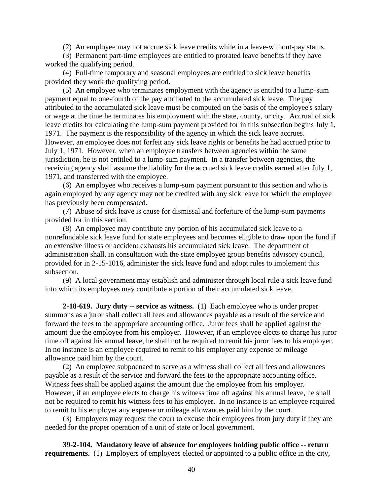(2) An employee may not accrue sick leave credits while in a leave-without-pay status.

(3) Permanent part-time employees are entitled to prorated leave benefits if they have worked the qualifying period.

(4) Full-time temporary and seasonal employees are entitled to sick leave benefits provided they work the qualifying period.

(5) An employee who terminates employment with the agency is entitled to a lump-sum payment equal to one-fourth of the pay attributed to the accumulated sick leave. The pay attributed to the accumulated sick leave must be computed on the basis of the employee's salary or wage at the time he terminates his employment with the state, county, or city. Accrual of sick leave credits for calculating the lump-sum payment provided for in this subsection begins July 1, 1971. The payment is the responsibility of the agency in which the sick leave accrues. However, an employee does not forfeit any sick leave rights or benefits he had accrued prior to July 1, 1971. However, when an employee transfers between agencies within the same jurisdiction, he is not entitled to a lump-sum payment. In a transfer between agencies, the receiving agency shall assume the liability for the accrued sick leave credits earned after July 1, 1971, and transferred with the employee.

(6) An employee who receives a lump-sum payment pursuant to this section and who is again employed by any agency may not be credited with any sick leave for which the employee has previously been compensated.

(7) Abuse of sick leave is cause for dismissal and forfeiture of the lump-sum payments provided for in this section.

(8) An employee may contribute any portion of his accumulated sick leave to a nonrefundable sick leave fund for state employees and becomes eligible to draw upon the fund if an extensive illness or accident exhausts his accumulated sick leave. The department of administration shall, in consultation with the state employee group benefits advisory council, provided for in 2-15-1016, administer the sick leave fund and adopt rules to implement this subsection.

(9) A local government may establish and administer through local rule a sick leave fund into which its employees may contribute a portion of their accumulated sick leave.

**2-18-619. Jury duty -- service as witness.** (1) Each employee who is under proper summons as a juror shall collect all fees and allowances payable as a result of the service and forward the fees to the appropriate accounting office. Juror fees shall be applied against the amount due the employee from his employer. However, if an employee elects to charge his juror time off against his annual leave, he shall not be required to remit his juror fees to his employer. In no instance is an employee required to remit to his employer any expense or mileage allowance paid him by the court.

(2) An employee subpoenaed to serve as a witness shall collect all fees and allowances payable as a result of the service and forward the fees to the appropriate accounting office. Witness fees shall be applied against the amount due the employee from his employer. However, if an employee elects to charge his witness time off against his annual leave, he shall not be required to remit his witness fees to his employer. In no instance is an employee required to remit to his employer any expense or mileage allowances paid him by the court.

(3) Employers may request the court to excuse their employees from jury duty if they are needed for the proper operation of a unit of state or local government.

**39-2-104. Mandatory leave of absence for employees holding public office -- return requirements.** (1) Employers of employees elected or appointed to a public office in the city,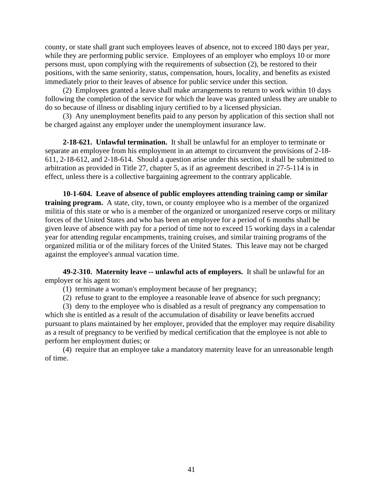county, or state shall grant such employees leaves of absence, not to exceed 180 days per year, while they are performing public service. Employees of an employer who employs 10 or more persons must, upon complying with the requirements of subsection (2), be restored to their positions, with the same seniority, status, compensation, hours, locality, and benefits as existed immediately prior to their leaves of absence for public service under this section.

(2) Employees granted a leave shall make arrangements to return to work within 10 days following the completion of the service for which the leave was granted unless they are unable to do so because of illness or disabling injury certified to by a licensed physician.

(3) Any unemployment benefits paid to any person by application of this section shall not be charged against any employer under the unemployment insurance law.

**2-18-621. Unlawful termination.** It shall be unlawful for an employer to terminate or separate an employee from his employment in an attempt to circumvent the provisions of 2-18- 611, 2-18-612, and 2-18-614. Should a question arise under this section, it shall be submitted to arbitration as provided in Title 27, chapter 5, as if an agreement described in 27-5-114 is in effect, unless there is a collective bargaining agreement to the contrary applicable.

**10-1-604. Leave of absence of public employees attending training camp or similar training program.** A state, city, town, or county employee who is a member of the organized militia of this state or who is a member of the organized or unorganized reserve corps or military forces of the United States and who has been an employee for a period of 6 months shall be given leave of absence with pay for a period of time not to exceed 15 working days in a calendar year for attending regular encampments, training cruises, and similar training programs of the organized militia or of the military forces of the United States. This leave may not be charged against the employee's annual vacation time.

**49-2-310. Maternity leave -- unlawful acts of employers.** It shall be unlawful for an employer or his agent to:

- (1) terminate a woman's employment because of her pregnancy;
- (2) refuse to grant to the employee a reasonable leave of absence for such pregnancy;

(3) deny to the employee who is disabled as a result of pregnancy any compensation to which she is entitled as a result of the accumulation of disability or leave benefits accrued pursuant to plans maintained by her employer, provided that the employer may require disability as a result of pregnancy to be verified by medical certification that the employee is not able to perform her employment duties; or

(4) require that an employee take a mandatory maternity leave for an unreasonable length of time.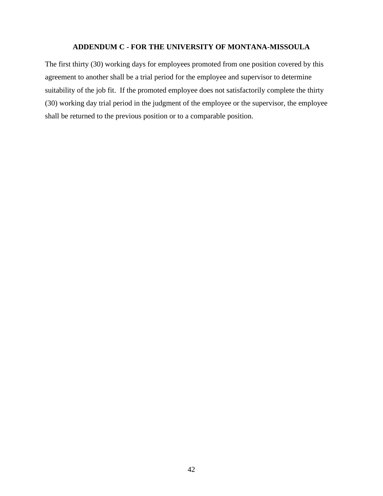## **ADDENDUM C - FOR THE UNIVERSITY OF MONTANA-MISSOULA**

<span id="page-47-0"></span>The first thirty (30) working days for employees promoted from one position covered by this agreement to another shall be a trial period for the employee and supervisor to determine suitability of the job fit. If the promoted employee does not satisfactorily complete the thirty (30) working day trial period in the judgment of the employee or the supervisor, the employee shall be returned to the previous position or to a comparable position.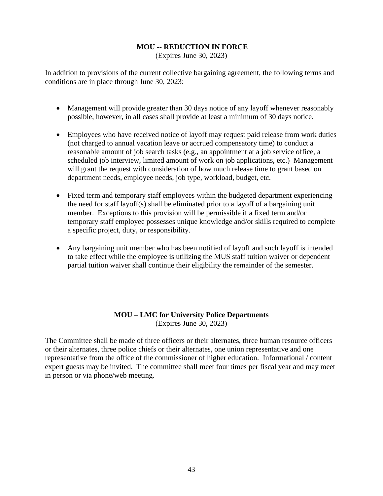## <span id="page-48-0"></span>**MOU -- REDUCTION IN FORCE**

(Expires June 30, 2023)

In addition to provisions of the current collective bargaining agreement, the following terms and conditions are in place through June 30, 2023:

- Management will provide greater than 30 days notice of any layoff whenever reasonably possible, however, in all cases shall provide at least a minimum of 30 days notice.
- Employees who have received notice of layoff may request paid release from work duties (not charged to annual vacation leave or accrued compensatory time) to conduct a reasonable amount of job search tasks (e.g., an appointment at a job service office, a scheduled job interview, limited amount of work on job applications, etc.) Management will grant the request with consideration of how much release time to grant based on department needs, employee needs, job type, workload, budget, etc.
- Fixed term and temporary staff employees within the budgeted department experiencing the need for staff layoff(s) shall be eliminated prior to a layoff of a bargaining unit member. Exceptions to this provision will be permissible if a fixed term and/or temporary staff employee possesses unique knowledge and/or skills required to complete a specific project, duty, or responsibility.
- Any bargaining unit member who has been notified of layoff and such layoff is intended to take effect while the employee is utilizing the MUS staff tuition waiver or dependent partial tuition waiver shall continue their eligibility the remainder of the semester.

## **MOU – LMC for University Police Departments** (Expires June 30, 2023)

<span id="page-48-1"></span>The Committee shall be made of three officers or their alternates, three human resource officers or their alternates, three police chiefs or their alternates, one union representative and one representative from the office of the commissioner of higher education. Informational / content expert guests may be invited. The committee shall meet four times per fiscal year and may meet in person or via phone/web meeting.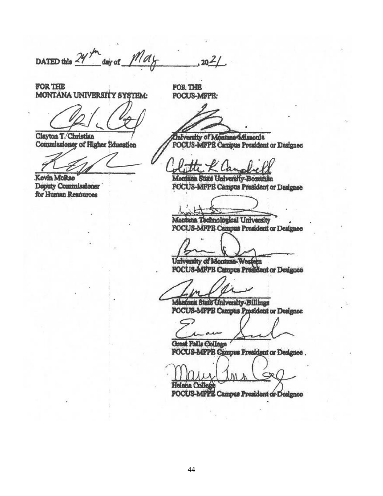DATED this  $\frac{24}{3}$  day of  $\frac{1}{4}$ ,  $\frac{1}{4}$ ,  $\frac{1}{20}$ ,  $\frac{2}{1}$ .

A THE FOR THE FORM THE FORM THE FORM THE FORM THE FORM THE FORM THE FORM THE FORM THE FORM THE FORM THE FORM T<br>A FORM THE FORM THE FORM THE FORM THE FORM THE FORM THE FORM THE FORM THE FORM THE FORM THE FORM THE FORM THE MONTANA UNIVERSITY SYSTEM: FOCUS-MFPE:

 $\mathcal{L}$  Air Education Focus-MFPE Campus President or  $\mathcal{L}$ 

for Human Resources

 $v_{\text{tan}}$  T/Christian  $\overline{f}$ mmissinner of Higher Rougation / POCTIR AGRPR Canivas Provident or Treet

Kevin McRae Deputy Commissioner FOCUS-MFPE Campus President or Designee

Montana Technological University **FOCUS-MFPE Campus President or Designee** 

 $\mathbb{F}$  Focus $\mathbb{F}$ 

aity of Montana-Western **University of Montana** Montana Contact Of Mon

 $\mathcal{P}$ 

E SHER CHEVEREY DELLE Montana State University-Billings

 $\mathcal{F}$  and  $\mathcal{F}$  and  $\mathcal{F}$ 

**LLIPPR Commun President or Dealon** 

FOCUS-MFPE Campus President or Designee

 $G$  $\frac{1}{2}$ Focus $\frac{1}{2}$ Focus $\frac{1}{2}$ Focus $\frac{1}{2}$ **Holona** College 3-MFPE Campus President of Design

Helena College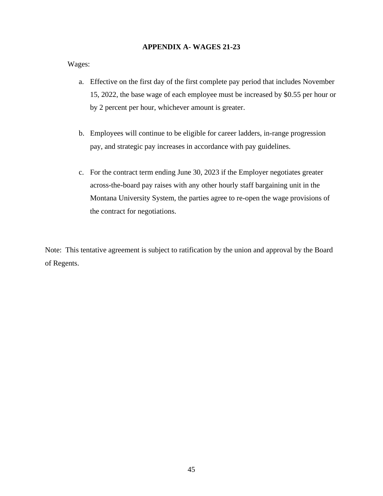## **APPENDIX A- WAGES 21-23**

Wages:

- a. Effective on the first day of the first complete pay period that includes November 15, 2022, the base wage of each employee must be increased by \$0.55 per hour or by 2 percent per hour, whichever amount is greater.
- b. Employees will continue to be eligible for career ladders, in-range progression pay, and strategic pay increases in accordance with pay guidelines.
- c. For the contract term ending June 30, 2023 if the Employer negotiates greater across-the-board pay raises with any other hourly staff bargaining unit in the Montana University System, the parties agree to re-open the wage provisions of the contract for negotiations.

Note: This tentative agreement is subject to ratification by the union and approval by the Board of Regents.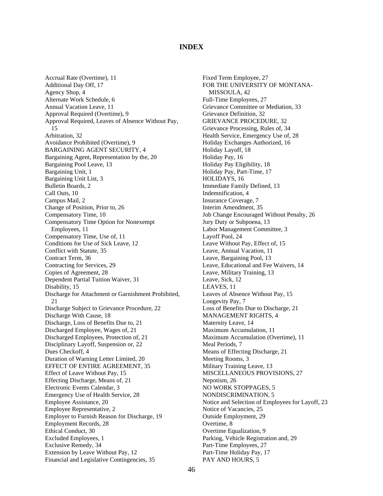## **INDEX**

<span id="page-51-0"></span>Accrual Rate (Overtime), 11 Additional Day Off, 17 Agency Shop, 4 Alternate Work Schedule, 6 Annual Vacation Leave, 11 Approval Required (Overtime), 9 Approval Required, Leaves of Absence Without Pay, 15 Arbitration, 32 Avoidance Prohibited (Overtime), 9 BARGAINING AGENT SECURITY, 4 Bargaining Agent, Representation by the, 20 Bargaining Pool Leave, 13 Bargaining Unit, 1 Bargaining Unit List, 3 Bulletin Boards, 2 Call Outs, 10 Campus Mail, 2 Change of Position, Prior to, 26 Compensatory Time, 10 Compensatory Time Option for Nonexempt Employees, 11 Compensatory Time, Use of, 11 Conditions for Use of Sick Leave, 12 Conflict with Statute, 35 Contract Term, 36 Contracting for Services, 29 Copies of Agreement, 28 Dependent Partial Tuition Waiver, 31 Disability, 15 Discharge for Attachment or Garnishment Prohibited, 21 Discharge Subject to Grievance Procedure, 22 Discharge With Cause, 18 Discharge, Loss of Benefits Due to, 21 Discharged Employee, Wages of, 21 Discharged Employees, Protection of, 21 Disciplinary Layoff, Suspension or, 22 Dues Checkoff, 4 Duration of Warning Letter Limited, 20 EFFECT OF ENTIRE AGREEMENT, 35 Effect of Leave Without Pay, 15 Effecting Discharge, Means of, 21 Electronic Events Calendar, 3 Emergency Use of Health Service, 28 Employee Assistance, 20 Employee Representative, 2 Employer to Furnish Reason for Discharge, 19 Employment Records, 28 Ethical Conduct, 30 Excluded Employees, 1 Exclusive Remedy, 34 Extension by Leave Without Pay, 12 Financial and Legislative Contingencies, 35

Fixed Term Employee, 27 FOR THE UNIVERSITY OF MONTANA-MISSOULA, 42 Full-Time Employees, 27 Grievance Committee or Mediation, 33 Grievance Definition, 32 GRIEVANCE PROCEDURE, 32 Grievance Processing, Rules of, 34 Health Service, Emergency Use of, 28 Holiday Exchanges Authorized, 16 Holiday Layoff, 18 Holiday Pay, 16 Holiday Pay Eligibility, 18 Holiday Pay, Part-Time, 17 HOLIDAYS, 16 Immediate Family Defined, 13 Indemnification, 4 Insurance Coverage, 7 Interim Amendment, 35 Job Change Encouraged Without Penalty, 26 Jury Duty or Subpoena, 13 Labor Management Committee, 3 Layoff Pool, 24 Leave Without Pay, Effect of, 15 Leave, Annual Vacation, 11 Leave, Bargaining Pool, 13 Leave, Educational and Fee Waivers, 14 Leave, Military Training, 13 Leave, Sick, 12 LEAVES, 11 Leaves of Absence Without Pay, 15 Longevity Pay, 7 Loss of Benefits Due to Discharge, 21 MANAGEMENT RIGHTS, 4 Maternity Leave, 14 Maximum Accumulation, 11 Maximum Accumulation (Overtime), 11 Meal Periods, 7 Means of Effecting Discharge, 21 Meeting Rooms, 3 Military Training Leave, 13 MISCELLANEOUS PROVISIONS, 27 Nepotism, 26 NO WORK STOPPAGES, 5 NONDISCRIMINATION, 5 Notice and Selection of Employees for Layoff, 23 Notice of Vacancies, 25 Outside Employment, 29 Overtime, 8 Overtime Equalization, 9 Parking, Vehicle Registration and, 29 Part-Time Employees, 27 Part-Time Holiday Pay, 17 PAY AND HOURS, 5